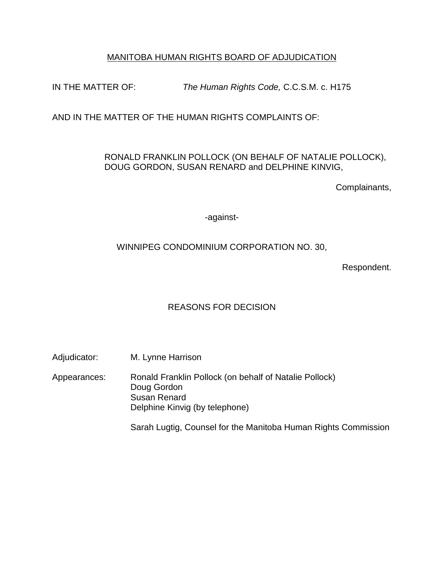# MANITOBA HUMAN RIGHTS BOARD OF ADJUDICATION

IN THE MATTER OF: *The Human Rights Code,* C.C.S.M. c. H175

AND IN THE MATTER OF THE HUMAN RIGHTS COMPLAINTS OF:

## RONALD FRANKLIN POLLOCK (ON BEHALF OF NATALIE POLLOCK), DOUG GORDON, SUSAN RENARD and DELPHINE KINVIG,

Complainants,

-against-

# WINNIPEG CONDOMINIUM CORPORATION NO. 30,

Respondent.

# REASONS FOR DECISION

Adjudicator: M. Lynne Harrison

Appearances: Ronald Franklin Pollock (on behalf of Natalie Pollock) Doug Gordon Susan Renard Delphine Kinvig (by telephone)

Sarah Lugtig, Counsel for the Manitoba Human Rights Commission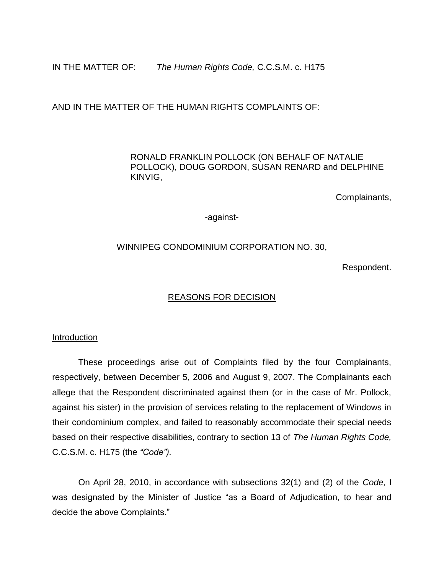IN THE MATTER OF: *The Human Rights Code,* C.C.S.M. c. H175

AND IN THE MATTER OF THE HUMAN RIGHTS COMPLAINTS OF:

### RONALD FRANKLIN POLLOCK (ON BEHALF OF NATALIE POLLOCK), DOUG GORDON, SUSAN RENARD and DELPHINE KINVIG,

Complainants,

-against-

### WINNIPEG CONDOMINIUM CORPORATION NO. 30,

Respondent.

## REASONS FOR DECISION

#### **Introduction**

These proceedings arise out of Complaints filed by the four Complainants, respectively, between December 5, 2006 and August 9, 2007. The Complainants each allege that the Respondent discriminated against them (or in the case of Mr. Pollock, against his sister) in the provision of services relating to the replacement of Windows in their condominium complex, and failed to reasonably accommodate their special needs based on their respective disabilities, contrary to section 13 of *The Human Rights Code,*  C.C.S.M. c. H175 (the *"Code").* 

On April 28, 2010, in accordance with subsections 32(1) and (2) of the *Code,* I was designated by the Minister of Justice "as a Board of Adjudication, to hear and decide the above Complaints."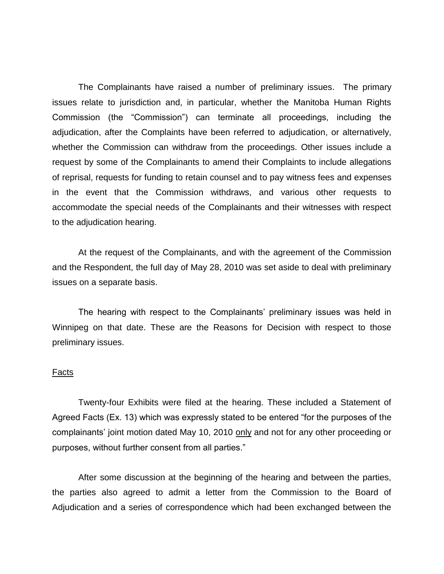The Complainants have raised a number of preliminary issues. The primary issues relate to jurisdiction and, in particular, whether the Manitoba Human Rights Commission (the "Commission") can terminate all proceedings, including the adjudication, after the Complaints have been referred to adjudication, or alternatively, whether the Commission can withdraw from the proceedings. Other issues include a request by some of the Complainants to amend their Complaints to include allegations of reprisal, requests for funding to retain counsel and to pay witness fees and expenses in the event that the Commission withdraws, and various other requests to accommodate the special needs of the Complainants and their witnesses with respect to the adjudication hearing.

At the request of the Complainants, and with the agreement of the Commission and the Respondent, the full day of May 28, 2010 was set aside to deal with preliminary issues on a separate basis.

The hearing with respect to the Complainants' preliminary issues was held in Winnipeg on that date. These are the Reasons for Decision with respect to those preliminary issues.

#### Facts

Twenty-four Exhibits were filed at the hearing. These included a Statement of Agreed Facts (Ex. 13) which was expressly stated to be entered "for the purposes of the complainants' joint motion dated May 10, 2010 only and not for any other proceeding or purposes, without further consent from all parties."

After some discussion at the beginning of the hearing and between the parties, the parties also agreed to admit a letter from the Commission to the Board of Adjudication and a series of correspondence which had been exchanged between the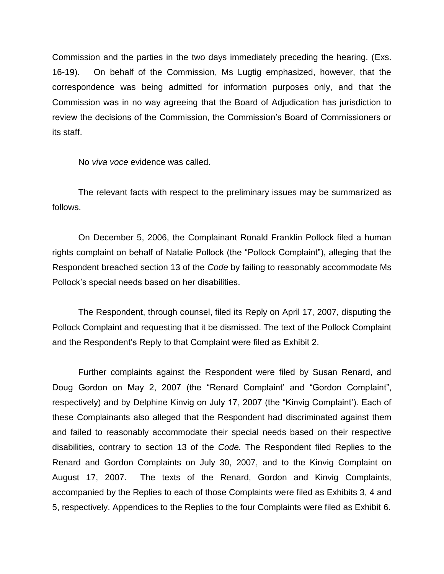Commission and the parties in the two days immediately preceding the hearing. (Exs. 16-19). On behalf of the Commission, Ms Lugtig emphasized, however, that the correspondence was being admitted for information purposes only, and that the Commission was in no way agreeing that the Board of Adjudication has jurisdiction to review the decisions of the Commission, the Commission"s Board of Commissioners or its staff.

No *viva voce* evidence was called.

The relevant facts with respect to the preliminary issues may be summarized as follows.

On December 5, 2006, the Complainant Ronald Franklin Pollock filed a human rights complaint on behalf of Natalie Pollock (the "Pollock Complaint"), alleging that the Respondent breached section 13 of the *Code* by failing to reasonably accommodate Ms Pollock"s special needs based on her disabilities.

The Respondent, through counsel, filed its Reply on April 17, 2007, disputing the Pollock Complaint and requesting that it be dismissed. The text of the Pollock Complaint and the Respondent"s Reply to that Complaint were filed as Exhibit 2.

Further complaints against the Respondent were filed by Susan Renard, and Doug Gordon on May 2, 2007 (the "Renard Complaint" and "Gordon Complaint", respectively) and by Delphine Kinvig on July 17, 2007 (the "Kinvig Complaint"). Each of these Complainants also alleged that the Respondent had discriminated against them and failed to reasonably accommodate their special needs based on their respective disabilities, contrary to section 13 of the *Code.* The Respondent filed Replies to the Renard and Gordon Complaints on July 30, 2007, and to the Kinvig Complaint on August 17, 2007. The texts of the Renard, Gordon and Kinvig Complaints, accompanied by the Replies to each of those Complaints were filed as Exhibits 3, 4 and 5, respectively. Appendices to the Replies to the four Complaints were filed as Exhibit 6.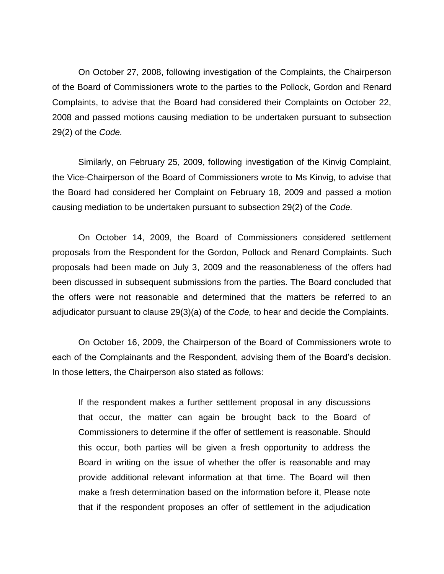On October 27, 2008, following investigation of the Complaints, the Chairperson of the Board of Commissioners wrote to the parties to the Pollock, Gordon and Renard Complaints, to advise that the Board had considered their Complaints on October 22, 2008 and passed motions causing mediation to be undertaken pursuant to subsection 29(2) of the *Code.* 

Similarly, on February 25, 2009, following investigation of the Kinvig Complaint, the Vice-Chairperson of the Board of Commissioners wrote to Ms Kinvig, to advise that the Board had considered her Complaint on February 18, 2009 and passed a motion causing mediation to be undertaken pursuant to subsection 29(2) of the *Code.*

On October 14, 2009, the Board of Commissioners considered settlement proposals from the Respondent for the Gordon, Pollock and Renard Complaints. Such proposals had been made on July 3, 2009 and the reasonableness of the offers had been discussed in subsequent submissions from the parties. The Board concluded that the offers were not reasonable and determined that the matters be referred to an adjudicator pursuant to clause 29(3)(a) of the *Code,* to hear and decide the Complaints.

On October 16, 2009, the Chairperson of the Board of Commissioners wrote to each of the Complainants and the Respondent, advising them of the Board"s decision. In those letters, the Chairperson also stated as follows:

If the respondent makes a further settlement proposal in any discussions that occur, the matter can again be brought back to the Board of Commissioners to determine if the offer of settlement is reasonable. Should this occur, both parties will be given a fresh opportunity to address the Board in writing on the issue of whether the offer is reasonable and may provide additional relevant information at that time. The Board will then make a fresh determination based on the information before it, Please note that if the respondent proposes an offer of settlement in the adjudication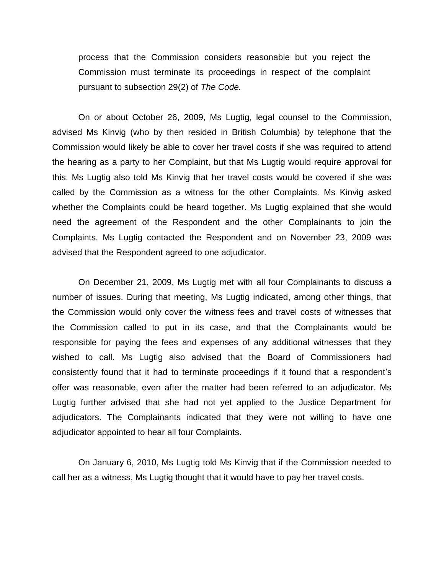process that the Commission considers reasonable but you reject the Commission must terminate its proceedings in respect of the complaint pursuant to subsection 29(2) of *The Code.*

On or about October 26, 2009, Ms Lugtig, legal counsel to the Commission, advised Ms Kinvig (who by then resided in British Columbia) by telephone that the Commission would likely be able to cover her travel costs if she was required to attend the hearing as a party to her Complaint, but that Ms Lugtig would require approval for this. Ms Lugtig also told Ms Kinvig that her travel costs would be covered if she was called by the Commission as a witness for the other Complaints. Ms Kinvig asked whether the Complaints could be heard together. Ms Lugtig explained that she would need the agreement of the Respondent and the other Complainants to join the Complaints. Ms Lugtig contacted the Respondent and on November 23, 2009 was advised that the Respondent agreed to one adjudicator.

On December 21, 2009, Ms Lugtig met with all four Complainants to discuss a number of issues. During that meeting, Ms Lugtig indicated, among other things, that the Commission would only cover the witness fees and travel costs of witnesses that the Commission called to put in its case, and that the Complainants would be responsible for paying the fees and expenses of any additional witnesses that they wished to call. Ms Lugtig also advised that the Board of Commissioners had consistently found that it had to terminate proceedings if it found that a respondent"s offer was reasonable, even after the matter had been referred to an adjudicator. Ms Lugtig further advised that she had not yet applied to the Justice Department for adjudicators. The Complainants indicated that they were not willing to have one adjudicator appointed to hear all four Complaints.

On January 6, 2010, Ms Lugtig told Ms Kinvig that if the Commission needed to call her as a witness, Ms Lugtig thought that it would have to pay her travel costs.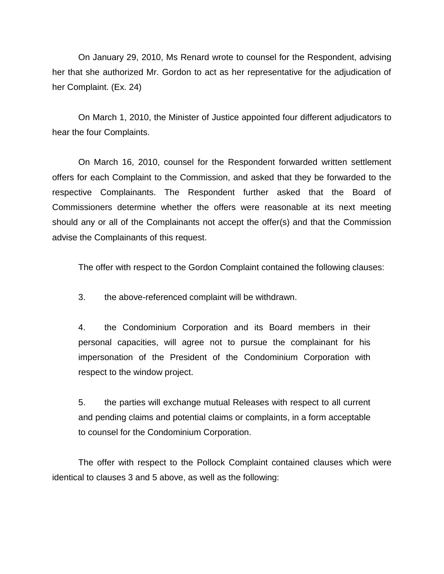On January 29, 2010, Ms Renard wrote to counsel for the Respondent, advising her that she authorized Mr. Gordon to act as her representative for the adjudication of her Complaint. (Ex. 24)

On March 1, 2010, the Minister of Justice appointed four different adjudicators to hear the four Complaints.

On March 16, 2010, counsel for the Respondent forwarded written settlement offers for each Complaint to the Commission, and asked that they be forwarded to the respective Complainants. The Respondent further asked that the Board of Commissioners determine whether the offers were reasonable at its next meeting should any or all of the Complainants not accept the offer(s) and that the Commission advise the Complainants of this request.

The offer with respect to the Gordon Complaint contained the following clauses:

3. the above-referenced complaint will be withdrawn.

4. the Condominium Corporation and its Board members in their personal capacities, will agree not to pursue the complainant for his impersonation of the President of the Condominium Corporation with respect to the window project.

5. the parties will exchange mutual Releases with respect to all current and pending claims and potential claims or complaints, in a form acceptable to counsel for the Condominium Corporation.

The offer with respect to the Pollock Complaint contained clauses which were identical to clauses 3 and 5 above, as well as the following: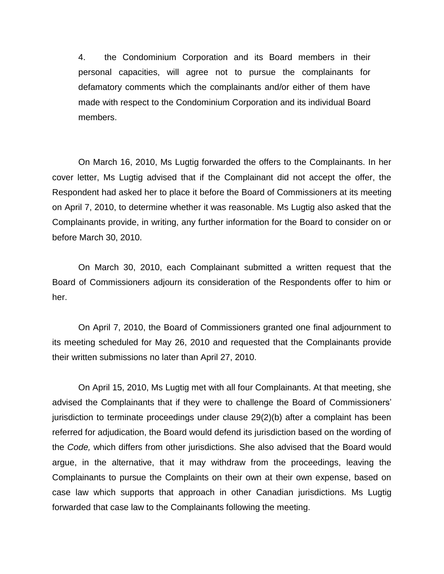4. the Condominium Corporation and its Board members in their personal capacities, will agree not to pursue the complainants for defamatory comments which the complainants and/or either of them have made with respect to the Condominium Corporation and its individual Board members.

On March 16, 2010, Ms Lugtig forwarded the offers to the Complainants. In her cover letter, Ms Lugtig advised that if the Complainant did not accept the offer, the Respondent had asked her to place it before the Board of Commissioners at its meeting on April 7, 2010, to determine whether it was reasonable. Ms Lugtig also asked that the Complainants provide, in writing, any further information for the Board to consider on or before March 30, 2010.

On March 30, 2010, each Complainant submitted a written request that the Board of Commissioners adjourn its consideration of the Respondents offer to him or her.

On April 7, 2010, the Board of Commissioners granted one final adjournment to its meeting scheduled for May 26, 2010 and requested that the Complainants provide their written submissions no later than April 27, 2010.

On April 15, 2010, Ms Lugtig met with all four Complainants. At that meeting, she advised the Complainants that if they were to challenge the Board of Commissioners" jurisdiction to terminate proceedings under clause 29(2)(b) after a complaint has been referred for adjudication, the Board would defend its jurisdiction based on the wording of the *Code,* which differs from other jurisdictions. She also advised that the Board would argue, in the alternative, that it may withdraw from the proceedings, leaving the Complainants to pursue the Complaints on their own at their own expense, based on case law which supports that approach in other Canadian jurisdictions. Ms Lugtig forwarded that case law to the Complainants following the meeting.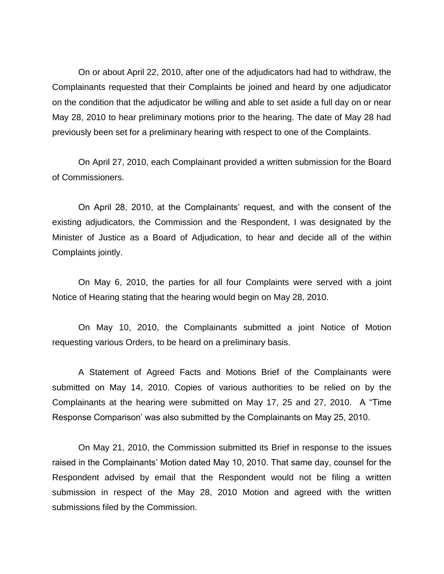On or about April 22, 2010, after one of the adjudicators had had to withdraw, the Complainants requested that their Complaints be joined and heard by one adjudicator on the condition that the adjudicator be willing and able to set aside a full day on or near May 28, 2010 to hear preliminary motions prior to the hearing. The date of May 28 had previously been set for a preliminary hearing with respect to one of the Complaints.

On April 27, 2010, each Complainant provided a written submission for the Board of Commissioners.

On April 28, 2010, at the Complainants" request, and with the consent of the existing adjudicators, the Commission and the Respondent, I was designated by the Minister of Justice as a Board of Adjudication, to hear and decide all of the within Complaints jointly.

On May 6, 2010, the parties for all four Complaints were served with a joint Notice of Hearing stating that the hearing would begin on May 28, 2010.

On May 10, 2010, the Complainants submitted a joint Notice of Motion requesting various Orders, to be heard on a preliminary basis.

A Statement of Agreed Facts and Motions Brief of the Complainants were submitted on May 14, 2010. Copies of various authorities to be relied on by the Complainants at the hearing were submitted on May 17, 25 and 27, 2010. A "Time Response Comparison" was also submitted by the Complainants on May 25, 2010.

On May 21, 2010, the Commission submitted its Brief in response to the issues raised in the Complainants" Motion dated May 10, 2010. That same day, counsel for the Respondent advised by email that the Respondent would not be filing a written submission in respect of the May 28, 2010 Motion and agreed with the written submissions filed by the Commission.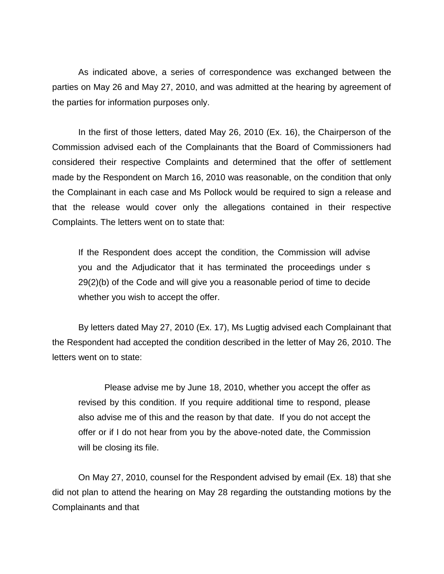As indicated above, a series of correspondence was exchanged between the parties on May 26 and May 27, 2010, and was admitted at the hearing by agreement of the parties for information purposes only.

In the first of those letters, dated May 26, 2010 (Ex. 16), the Chairperson of the Commission advised each of the Complainants that the Board of Commissioners had considered their respective Complaints and determined that the offer of settlement made by the Respondent on March 16, 2010 was reasonable, on the condition that only the Complainant in each case and Ms Pollock would be required to sign a release and that the release would cover only the allegations contained in their respective Complaints. The letters went on to state that:

If the Respondent does accept the condition, the Commission will advise you and the Adjudicator that it has terminated the proceedings under s 29(2)(b) of the Code and will give you a reasonable period of time to decide whether you wish to accept the offer.

By letters dated May 27, 2010 (Ex. 17), Ms Lugtig advised each Complainant that the Respondent had accepted the condition described in the letter of May 26, 2010. The letters went on to state:

Please advise me by June 18, 2010, whether you accept the offer as revised by this condition. If you require additional time to respond, please also advise me of this and the reason by that date. If you do not accept the offer or if I do not hear from you by the above-noted date, the Commission will be closing its file.

On May 27, 2010, counsel for the Respondent advised by email (Ex. 18) that she did not plan to attend the hearing on May 28 regarding the outstanding motions by the Complainants and that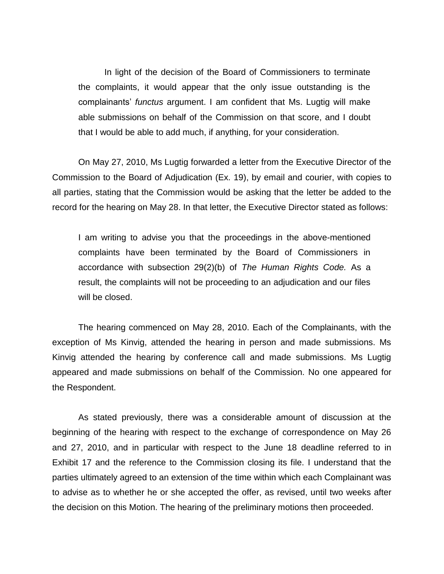In light of the decision of the Board of Commissioners to terminate the complaints, it would appear that the only issue outstanding is the complainants" *functus* argument. I am confident that Ms. Lugtig will make able submissions on behalf of the Commission on that score, and I doubt that I would be able to add much, if anything, for your consideration.

On May 27, 2010, Ms Lugtig forwarded a letter from the Executive Director of the Commission to the Board of Adjudication (Ex. 19), by email and courier, with copies to all parties, stating that the Commission would be asking that the letter be added to the record for the hearing on May 28. In that letter, the Executive Director stated as follows:

I am writing to advise you that the proceedings in the above-mentioned complaints have been terminated by the Board of Commissioners in accordance with subsection 29(2)(b) of *The Human Rights Code.* As a result, the complaints will not be proceeding to an adjudication and our files will be closed.

The hearing commenced on May 28, 2010. Each of the Complainants, with the exception of Ms Kinvig, attended the hearing in person and made submissions. Ms Kinvig attended the hearing by conference call and made submissions. Ms Lugtig appeared and made submissions on behalf of the Commission. No one appeared for the Respondent.

As stated previously, there was a considerable amount of discussion at the beginning of the hearing with respect to the exchange of correspondence on May 26 and 27, 2010, and in particular with respect to the June 18 deadline referred to in Exhibit 17 and the reference to the Commission closing its file. I understand that the parties ultimately agreed to an extension of the time within which each Complainant was to advise as to whether he or she accepted the offer, as revised, until two weeks after the decision on this Motion. The hearing of the preliminary motions then proceeded.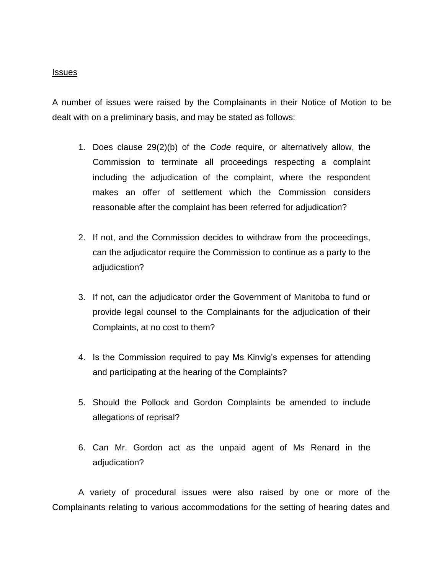### **Issues**

A number of issues were raised by the Complainants in their Notice of Motion to be dealt with on a preliminary basis, and may be stated as follows:

- 1. Does clause 29(2)(b) of the *Code* require, or alternatively allow, the Commission to terminate all proceedings respecting a complaint including the adjudication of the complaint, where the respondent makes an offer of settlement which the Commission considers reasonable after the complaint has been referred for adjudication?
- 2. If not, and the Commission decides to withdraw from the proceedings, can the adjudicator require the Commission to continue as a party to the adjudication?
- 3. If not, can the adjudicator order the Government of Manitoba to fund or provide legal counsel to the Complainants for the adjudication of their Complaints, at no cost to them?
- 4. Is the Commission required to pay Ms Kinvig"s expenses for attending and participating at the hearing of the Complaints?
- 5. Should the Pollock and Gordon Complaints be amended to include allegations of reprisal?
- 6. Can Mr. Gordon act as the unpaid agent of Ms Renard in the adjudication?

A variety of procedural issues were also raised by one or more of the Complainants relating to various accommodations for the setting of hearing dates and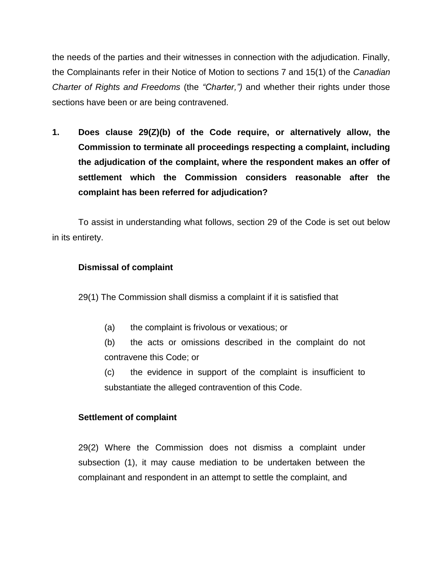the needs of the parties and their witnesses in connection with the adjudication. Finally, the Complainants refer in their Notice of Motion to sections 7 and 15(1) of the *Canadian Charter of Rights and Freedoms* (the *"Charter,")* and whether their rights under those sections have been or are being contravened.

**1. Does clause 29(Z)(b) of the Code require, or alternatively allow, the Commission to terminate all proceedings respecting a complaint, including the adjudication of the complaint, where the respondent makes an offer of settlement which the Commission considers reasonable after the complaint has been referred for adjudication?** 

To assist in understanding what follows, section 29 of the Code is set out below in its entirety.

## **Dismissal of complaint**

29(1) The Commission shall dismiss a complaint if it is satisfied that

(a) the complaint is frivolous or vexatious; or

(b) the acts or omissions described in the complaint do not contravene this Code; or

(c) the evidence in support of the complaint is insufficient to substantiate the alleged contravention of this Code.

## **Settlement of complaint**

29(2) Where the Commission does not dismiss a complaint under subsection (1), it may cause mediation to be undertaken between the complainant and respondent in an attempt to settle the complaint, and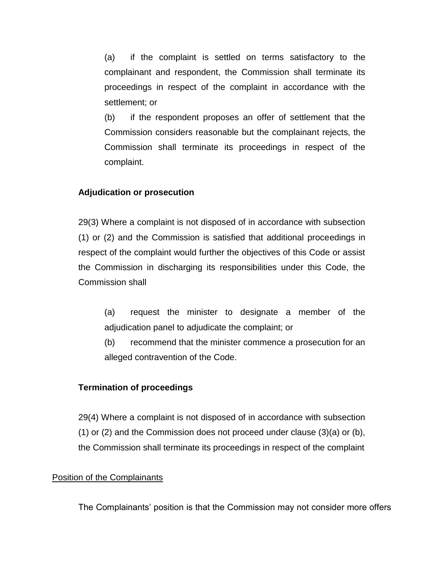(a) if the complaint is settled on terms satisfactory to the complainant and respondent, the Commission shall terminate its proceedings in respect of the complaint in accordance with the settlement; or

(b) if the respondent proposes an offer of settlement that the Commission considers reasonable but the complainant rejects, the Commission shall terminate its proceedings in respect of the complaint.

## **Adjudication or prosecution**

29(3) Where a complaint is not disposed of in accordance with subsection (1) or (2) and the Commission is satisfied that additional proceedings in respect of the complaint would further the objectives of this Code or assist the Commission in discharging its responsibilities under this Code, the Commission shall

(a) request the minister to designate a member of the adjudication panel to adjudicate the complaint; or

(b) recommend that the minister commence a prosecution for an alleged contravention of the Code.

### **Termination of proceedings**

29(4) Where a complaint is not disposed of in accordance with subsection (1) or (2) and the Commission does not proceed under clause (3)(a) or (b), the Commission shall terminate its proceedings in respect of the complaint

### Position of the Complainants

The Complainants' position is that the Commission may not consider more offers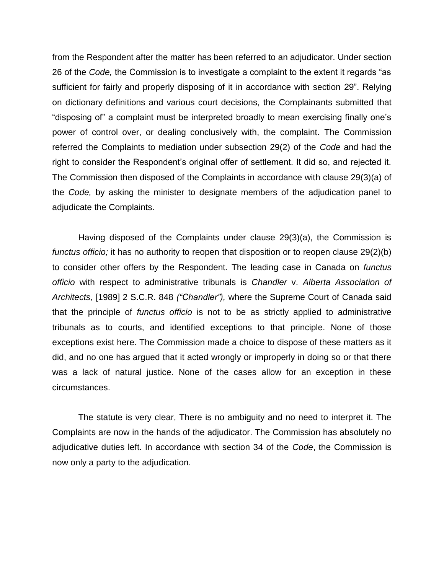from the Respondent after the matter has been referred to an adjudicator. Under section 26 of the *Code,* the Commission is to investigate a complaint to the extent it regards "as sufficient for fairly and properly disposing of it in accordance with section 29". Relying on dictionary definitions and various court decisions, the Complainants submitted that "disposing of" a complaint must be interpreted broadly to mean exercising finally one"s power of control over, or dealing conclusively with, the complaint. The Commission referred the Complaints to mediation under subsection 29(2) of the *Code* and had the right to consider the Respondent"s original offer of settlement. It did so, and rejected it. The Commission then disposed of the Complaints in accordance with clause 29(3)(a) of the *Code,* by asking the minister to designate members of the adjudication panel to adjudicate the Complaints.

Having disposed of the Complaints under clause 29(3)(a), the Commission is *functus officio;* it has no authority to reopen that disposition or to reopen clause 29(2)(b) to consider other offers by the Respondent. The leading case in Canada on *functus officio* with respect to administrative tribunals is *Chandler* v. *Alberta Association of Architects,* [1989] 2 S.C.R. 848 *("Chandler"),* where the Supreme Court of Canada said that the principle of *functus officio* is not to be as strictly applied to administrative tribunals as to courts, and identified exceptions to that principle. None of those exceptions exist here. The Commission made a choice to dispose of these matters as it did, and no one has argued that it acted wrongly or improperly in doing so or that there was a lack of natural justice. None of the cases allow for an exception in these circumstances.

The statute is very clear, There is no ambiguity and no need to interpret it. The Complaints are now in the hands of the adjudicator. The Commission has absolutely no adjudicative duties left. In accordance with section 34 of the *Code*, the Commission is now only a party to the adjudication.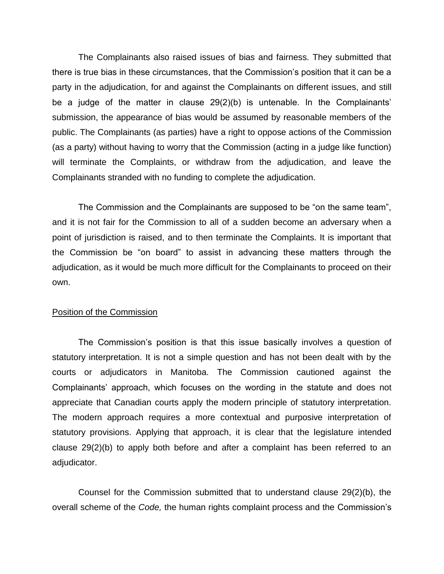The Complainants also raised issues of bias and fairness. They submitted that there is true bias in these circumstances, that the Commission"s position that it can be a party in the adjudication, for and against the Complainants on different issues, and still be a judge of the matter in clause 29(2)(b) is untenable. In the Complainants' submission, the appearance of bias would be assumed by reasonable members of the public. The Complainants (as parties) have a right to oppose actions of the Commission (as a party) without having to worry that the Commission (acting in a judge like function) will terminate the Complaints, or withdraw from the adjudication, and leave the Complainants stranded with no funding to complete the adjudication.

The Commission and the Complainants are supposed to be "on the same team", and it is not fair for the Commission to all of a sudden become an adversary when a point of jurisdiction is raised, and to then terminate the Complaints. It is important that the Commission be "on board" to assist in advancing these matters through the adjudication, as it would be much more difficult for the Complainants to proceed on their own.

### Position of the Commission

The Commission"s position is that this issue basically involves a question of statutory interpretation. It is not a simple question and has not been dealt with by the courts or adjudicators in Manitoba. The Commission cautioned against the Complainants" approach, which focuses on the wording in the statute and does not appreciate that Canadian courts apply the modern principle of statutory interpretation. The modern approach requires a more contextual and purposive interpretation of statutory provisions. Applying that approach, it is clear that the legislature intended clause 29(2)(b) to apply both before and after a complaint has been referred to an adjudicator.

Counsel for the Commission submitted that to understand clause 29(2)(b), the overall scheme of the *Code,* the human rights complaint process and the Commission"s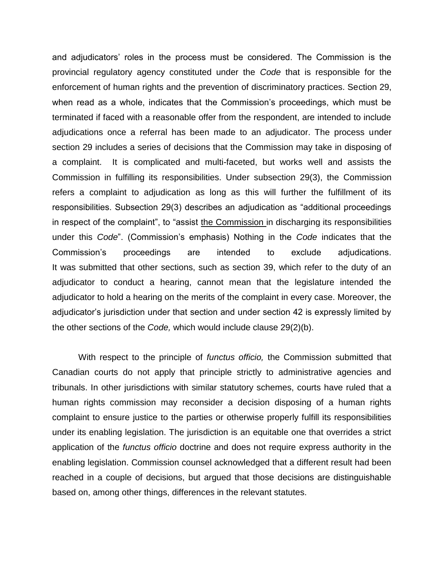and adjudicators" roles in the process must be considered. The Commission is the provincial regulatory agency constituted under the *Code* that is responsible for the enforcement of human rights and the prevention of discriminatory practices. Section 29, when read as a whole, indicates that the Commission's proceedings, which must be terminated if faced with a reasonable offer from the respondent, are intended to include adjudications once a referral has been made to an adjudicator. The process under section 29 includes a series of decisions that the Commission may take in disposing of a complaint. It is complicated and multi-faceted, but works well and assists the Commission in fulfilling its responsibilities. Under subsection 29(3), the Commission refers a complaint to adjudication as long as this will further the fulfillment of its responsibilities. Subsection 29(3) describes an adjudication as "additional proceedings in respect of the complaint", to "assist the Commission in discharging its responsibilities under this *Code*". (Commission"s emphasis) Nothing in the *Code* indicates that the Commission"s proceedings are intended to exclude adjudications. It was submitted that other sections, such as section 39, which refer to the duty of an adjudicator to conduct a hearing, cannot mean that the legislature intended the adjudicator to hold a hearing on the merits of the complaint in every case. Moreover, the adjudicator"s jurisdiction under that section and under section 42 is expressly limited by the other sections of the *Code,* which would include clause 29(2)(b).

With respect to the principle of *functus officio,* the Commission submitted that Canadian courts do not apply that principle strictly to administrative agencies and tribunals. In other jurisdictions with similar statutory schemes, courts have ruled that a human rights commission may reconsider a decision disposing of a human rights complaint to ensure justice to the parties or otherwise properly fulfill its responsibilities under its enabling legislation. The jurisdiction is an equitable one that overrides a strict application of the *functus officio* doctrine and does not require express authority in the enabling legislation. Commission counsel acknowledged that a different result had been reached in a couple of decisions, but argued that those decisions are distinguishable based on, among other things, differences in the relevant statutes.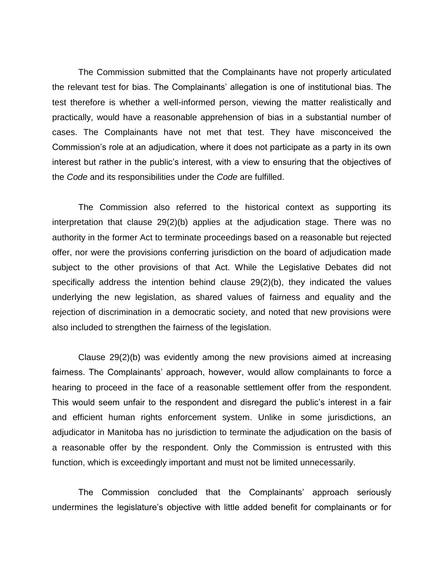The Commission submitted that the Complainants have not properly articulated the relevant test for bias. The Complainants" allegation is one of institutional bias. The test therefore is whether a well-informed person, viewing the matter realistically and practically, would have a reasonable apprehension of bias in a substantial number of cases. The Complainants have not met that test. They have misconceived the Commission"s role at an adjudication, where it does not participate as a party in its own interest but rather in the public's interest, with a view to ensuring that the objectives of the *Code* and its responsibilities under the *Code* are fulfilled.

The Commission also referred to the historical context as supporting its interpretation that clause 29(2)(b) applies at the adjudication stage. There was no authority in the former Act to terminate proceedings based on a reasonable but rejected offer, nor were the provisions conferring jurisdiction on the board of adjudication made subject to the other provisions of that Act. While the Legislative Debates did not specifically address the intention behind clause 29(2)(b), they indicated the values underlying the new legislation, as shared values of fairness and equality and the rejection of discrimination in a democratic society, and noted that new provisions were also included to strengthen the fairness of the legislation.

Clause 29(2)(b) was evidently among the new provisions aimed at increasing fairness. The Complainants' approach, however, would allow complainants to force a hearing to proceed in the face of a reasonable settlement offer from the respondent. This would seem unfair to the respondent and disregard the public"s interest in a fair and efficient human rights enforcement system. Unlike in some jurisdictions, an adjudicator in Manitoba has no jurisdiction to terminate the adjudication on the basis of a reasonable offer by the respondent. Only the Commission is entrusted with this function, which is exceedingly important and must not be limited unnecessarily.

The Commission concluded that the Complainants" approach seriously undermines the legislature"s objective with little added benefit for complainants or for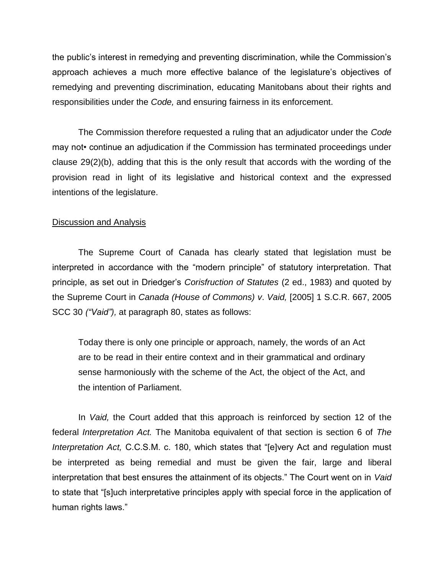the public"s interest in remedying and preventing discrimination, while the Commission"s approach achieves a much more effective balance of the legislature"s objectives of remedying and preventing discrimination, educating Manitobans about their rights and responsibilities under the *Code,* and ensuring fairness in its enforcement.

The Commission therefore requested a ruling that an adjudicator under the *Code* may not• continue an adjudication if the Commission has terminated proceedings under clause 29(2)(b), adding that this is the only result that accords with the wording of the provision read in light of its legislative and historical context and the expressed intentions of the legislature.

### Discussion and Analysis

The Supreme Court of Canada has clearly stated that legislation must be interpreted in accordance with the "modern principle" of statutory interpretation. That principle, as set out in Driedger"s *Corisfruction of Statutes* (2 ed., 1983) and quoted by the Supreme Court in *Canada (House of Commons) v*. *Vaid,* [2005] 1 S.C.R. 667, 2005 SCC 30 *("Vaid"),* at paragraph 80, states as follows:

Today there is only one principle or approach, namely, the words of an Act are to be read in their entire context and in their grammatical and ordinary sense harmoniously with the scheme of the Act, the object of the Act, and the intention of Parliament.

In *Vaid,* the Court added that this approach is reinforced by section 12 of the federal *Interpretation Act.* The Manitoba equivalent of that section is section 6 of *The Interpretation Act,* C.C.S.M. c. 180, which states that "[e]very Act and regulation must be interpreted as being remedial and must be given the fair, large and liberal interpretation that best ensures the attainment of its objects." The Court went on in *Vaid*  to state that "[s]uch interpretative principles apply with special force in the application of human rights laws."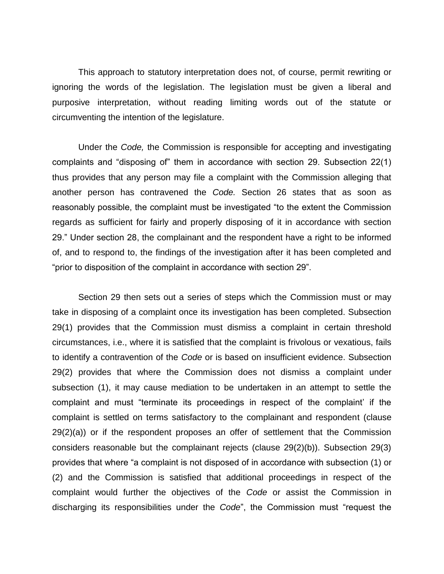This approach to statutory interpretation does not, of course, permit rewriting or ignoring the words of the legislation. The legislation must be given a liberal and purposive interpretation, without reading limiting words out of the statute or circumventing the intention of the legislature.

Under the *Code,* the Commission is responsible for accepting and investigating complaints and "disposing of" them in accordance with section 29. Subsection 22(1) thus provides that any person may file a complaint with the Commission alleging that another person has contravened the *Code.* Section 26 states that as soon as reasonably possible, the complaint must be investigated "to the extent the Commission regards as sufficient for fairly and properly disposing of it in accordance with section 29." Under section 28, the complainant and the respondent have a right to be informed of, and to respond to, the findings of the investigation after it has been completed and "prior to disposition of the complaint in accordance with section 29".

Section 29 then sets out a series of steps which the Commission must or may take in disposing of a complaint once its investigation has been completed. Subsection 29(1) provides that the Commission must dismiss a complaint in certain threshold circumstances, i.e., where it is satisfied that the complaint is frivolous or vexatious, fails to identify a contravention of the *Code* or is based on insufficient evidence. Subsection 29(2) provides that where the Commission does not dismiss a complaint under subsection (1), it may cause mediation to be undertaken in an attempt to settle the complaint and must "terminate its proceedings in respect of the complaint" if the complaint is settled on terms satisfactory to the complainant and respondent (clause 29(2)(a)) or if the respondent proposes an offer of settlement that the Commission considers reasonable but the complainant rejects (clause 29(2)(b)). Subsection 29(3) provides that where "a complaint is not disposed of in accordance with subsection (1) or (2) and the Commission is satisfied that additional proceedings in respect of the complaint would further the objectives of the *Code* or assist the Commission in discharging its responsibilities under the *Code*", the Commission must "request the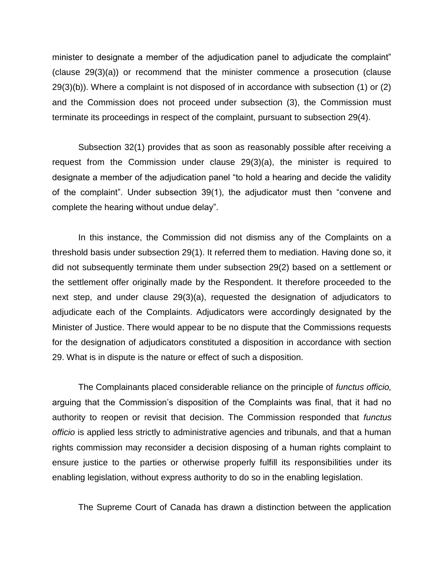minister to designate a member of the adjudication panel to adjudicate the complaint" (clause 29(3)(a)) or recommend that the minister commence a prosecution (clause 29(3)(b)). Where a complaint is not disposed of in accordance with subsection (1) or (2) and the Commission does not proceed under subsection (3), the Commission must terminate its proceedings in respect of the complaint, pursuant to subsection 29(4).

Subsection 32(1) provides that as soon as reasonably possible after receiving a request from the Commission under clause 29(3)(a), the minister is required to designate a member of the adjudication panel "to hold a hearing and decide the validity of the complaint". Under subsection 39(1), the adjudicator must then "convene and complete the hearing without undue delay".

In this instance, the Commission did not dismiss any of the Complaints on a threshold basis under subsection 29(1). It referred them to mediation. Having done so, it did not subsequently terminate them under subsection 29(2) based on a settlement or the settlement offer originally made by the Respondent. It therefore proceeded to the next step, and under clause 29(3)(a), requested the designation of adjudicators to adjudicate each of the Complaints. Adjudicators were accordingly designated by the Minister of Justice. There would appear to be no dispute that the Commissions requests for the designation of adjudicators constituted a disposition in accordance with section 29. What is in dispute is the nature or effect of such a disposition.

The Complainants placed considerable reliance on the principle of *functus officio,*  arguing that the Commission"s disposition of the Complaints was final, that it had no authority to reopen or revisit that decision. The Commission responded that *functus officio* is applied less strictly to administrative agencies and tribunals, and that a human rights commission may reconsider a decision disposing of a human rights complaint to ensure justice to the parties or otherwise properly fulfill its responsibilities under its enabling legislation, without express authority to do so in the enabling legislation.

The Supreme Court of Canada has drawn a distinction between the application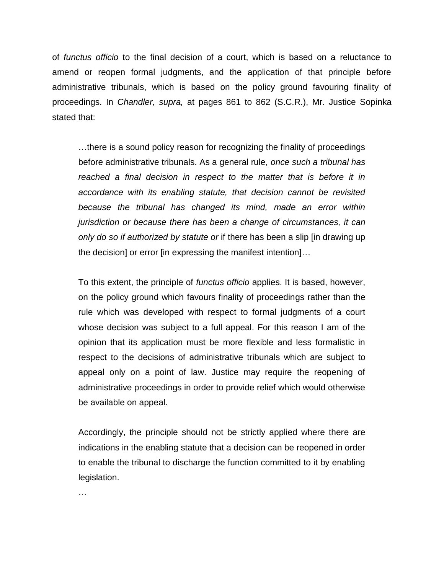of *functus officio* to the final decision of a court, which is based on a reluctance to amend or reopen formal judgments, and the application of that principle before administrative tribunals, which is based on the policy ground favouring finality of proceedings. In *Chandler, supra,* at pages 861 to 862 (S.C.R.), Mr. Justice Sopinka stated that:

…there is a sound policy reason for recognizing the finality of proceedings before administrative tribunals. As a general rule, *once such a tribunal has reached a final decision in respect to the matter that is before it in accordance with its enabling statute, that decision cannot be revisited because the tribunal has changed its mind, made an error within jurisdiction or because there has been a change of circumstances, it can only do so if authorized by statute or* if there has been a slip [in drawing up the decision] or error [in expressing the manifest intention]…

To this extent, the principle of *functus officio* applies. It is based, however, on the policy ground which favours finality of proceedings rather than the rule which was developed with respect to formal judgments of a court whose decision was subject to a full appeal. For this reason I am of the opinion that its application must be more flexible and less formalistic in respect to the decisions of administrative tribunals which are subject to appeal only on a point of law. Justice may require the reopening of administrative proceedings in order to provide relief which would otherwise be available on appeal.

Accordingly, the principle should not be strictly applied where there are indications in the enabling statute that a decision can be reopened in order to enable the tribunal to discharge the function committed to it by enabling legislation.

…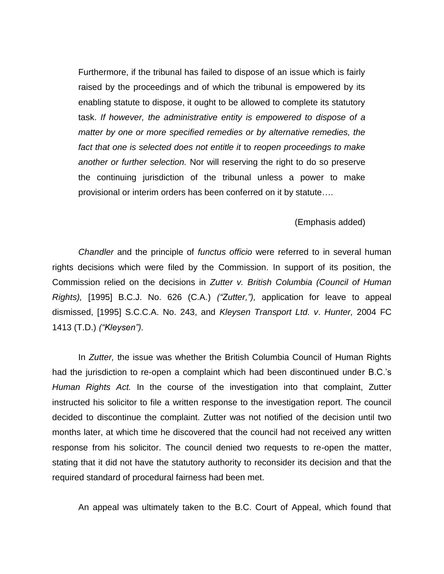Furthermore, if the tribunal has failed to dispose of an issue which is fairly raised by the proceedings and of which the tribunal is empowered by its enabling statute to dispose, it ought to be allowed to complete its statutory task. *If however, the administrative entity is empowered to dispose of a matter by one or more specified remedies or by alternative remedies, the fact that one is selected does not entitle it* to *reopen proceedings to make another or further selection.* Nor will reserving the right to do so preserve the continuing jurisdiction of the tribunal unless a power to make provisional or interim orders has been conferred on it by statute….

#### (Emphasis added)

*Chandler* and the principle of *functus officio* were referred to in several human rights decisions which were filed by the Commission. In support of its position, the Commission relied on the decisions in *Zutter v. British Columbia (Council of Human Rights),* [1995] B.C.J. No. 626 (C.A.) *("Zutter,"),* application for leave to appeal dismissed, [1995] S.C.C.A. No. 243, and *Kleysen Transport Ltd. v*. *Hunter,* 2004 FC 1413 (T.D.) *("Kleysen").* 

In *Zutter,* the issue was whether the British Columbia Council of Human Rights had the jurisdiction to re-open a complaint which had been discontinued under B.C."s *Human Rights Act.* In the course of the investigation into that complaint, Zutter instructed his solicitor to file a written response to the investigation report. The council decided to discontinue the complaint. Zutter was not notified of the decision until two months later, at which time he discovered that the council had not received any written response from his solicitor. The council denied two requests to re-open the matter, stating that it did not have the statutory authority to reconsider its decision and that the required standard of procedural fairness had been met.

An appeal was ultimately taken to the B.C. Court of Appeal, which found that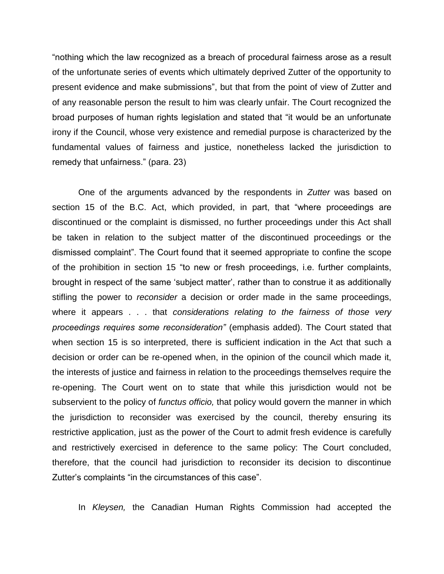"nothing which the law recognized as a breach of procedural fairness arose as a result of the unfortunate series of events which ultimately deprived Zutter of the opportunity to present evidence and make submissions", but that from the point of view of Zutter and of any reasonable person the result to him was clearly unfair. The Court recognized the broad purposes of human rights legislation and stated that "it would be an unfortunate irony if the Council, whose very existence and remedial purpose is characterized by the fundamental values of fairness and justice, nonetheless lacked the jurisdiction to remedy that unfairness." (para. 23)

One of the arguments advanced by the respondents in *Zutter* was based on section 15 of the B.C. Act, which provided, in part, that "where proceedings are discontinued or the complaint is dismissed, no further proceedings under this Act shall be taken in relation to the subject matter of the discontinued proceedings or the dismissed complaint". The Court found that it seemed appropriate to confine the scope of the prohibition in section 15 "to new or fresh proceedings, i.e. further complaints, brought in respect of the same "subject matter", rather than to construe it as additionally stifling the power to *reconsider* a decision or order made in the same proceedings, where it appears . . . that *considerations relating to the fairness of those very proceedings requires some reconsideration"* (emphasis added). The Court stated that when section 15 is so interpreted, there is sufficient indication in the Act that such a decision or order can be re-opened when, in the opinion of the council which made it, the interests of justice and fairness in relation to the proceedings themselves require the re-opening. The Court went on to state that while this jurisdiction would not be subservient to the policy of *functus officio,* that policy would govern the manner in which the jurisdiction to reconsider was exercised by the council, thereby ensuring its restrictive application, just as the power of the Court to admit fresh evidence is carefully and restrictively exercised in deference to the same policy: The Court concluded, therefore, that the council had jurisdiction to reconsider its decision to discontinue Zutter"s complaints "in the circumstances of this case".

In *Kleysen,* the Canadian Human Rights Commission had accepted the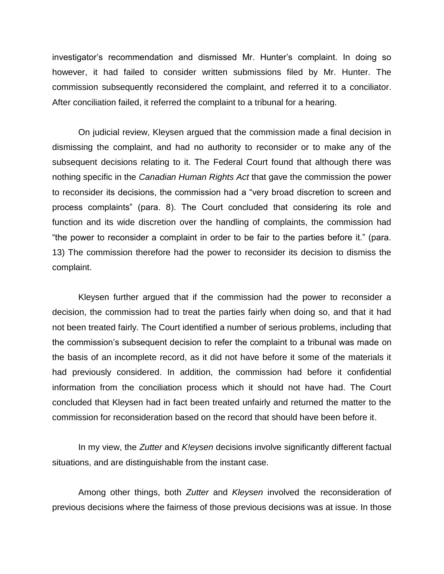investigator"s recommendation and dismissed Mr. Hunter"s complaint. In doing so however, it had failed to consider written submissions filed by Mr. Hunter. The commission subsequently reconsidered the complaint, and referred it to a conciliator. After conciliation failed, it referred the complaint to a tribunal for a hearing.

On judicial review, Kleysen argued that the commission made a final decision in dismissing the complaint, and had no authority to reconsider or to make any of the subsequent decisions relating to it. The Federal Court found that although there was nothing specific in the *Canadian Human Rights Act* that gave the commission the power to reconsider its decisions, the commission had a "very broad discretion to screen and process complaints" (para. 8). The Court concluded that considering its role and function and its wide discretion over the handling of complaints, the commission had "the power to reconsider a complaint in order to be fair to the parties before it." (para. 13) The commission therefore had the power to reconsider its decision to dismiss the complaint.

Kleysen further argued that if the commission had the power to reconsider a decision, the commission had to treat the parties fairly when doing so, and that it had not been treated fairly. The Court identified a number of serious problems, including that the commission"s subsequent decision to refer the complaint to a tribunal was made on the basis of an incomplete record, as it did not have before it some of the materials it had previously considered. In addition, the commission had before it confidential information from the conciliation process which it should not have had. The Court concluded that Kleysen had in fact been treated unfairly and returned the matter to the commission for reconsideration based on the record that should have been before it.

In my view, the *Zutter* and *K!eysen* decisions involve significantly different factual situations, and are distinguishable from the instant case.

Among other things, both *Zutter* and *Kleysen* involved the reconsideration of previous decisions where the fairness of those previous decisions was at issue. In those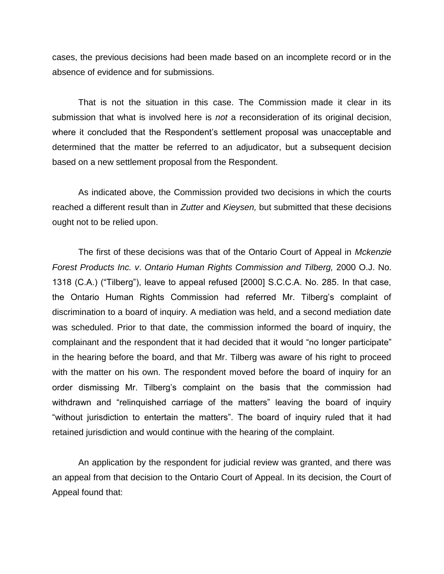cases, the previous decisions had been made based on an incomplete record or in the absence of evidence and for submissions.

That is not the situation in this case. The Commission made it clear in its submission that what is involved here is *not* a reconsideration of its original decision, where it concluded that the Respondent's settlement proposal was unacceptable and determined that the matter be referred to an adjudicator, but a subsequent decision based on a new settlement proposal from the Respondent.

As indicated above, the Commission provided two decisions in which the courts reached a different result than in *Zutter* and *Kieysen,* but submitted that these decisions ought not to be relied upon.

The first of these decisions was that of the Ontario Court of Appeal in *Mckenzie Forest Products Inc. v*. *Ontario Human Rights Commission and Tilberg,* 2000 O.J. No. 1318 (C.A.) ("Tilberg"), leave to appeal refused [2000] S.C.C.A. No. 285. In that case, the Ontario Human Rights Commission had referred Mr. Tilberg"s complaint of discrimination to a board of inquiry. A mediation was held, and a second mediation date was scheduled. Prior to that date, the commission informed the board of inquiry, the complainant and the respondent that it had decided that it would "no longer participate" in the hearing before the board, and that Mr. Tilberg was aware of his right to proceed with the matter on his own. The respondent moved before the board of inquiry for an order dismissing Mr. Tilberg"s complaint on the basis that the commission had withdrawn and "relinquished carriage of the matters" leaving the board of inquiry "without jurisdiction to entertain the matters". The board of inquiry ruled that it had retained jurisdiction and would continue with the hearing of the complaint.

An application by the respondent for judicial review was granted, and there was an appeal from that decision to the Ontario Court of Appeal. In its decision, the Court of Appeal found that: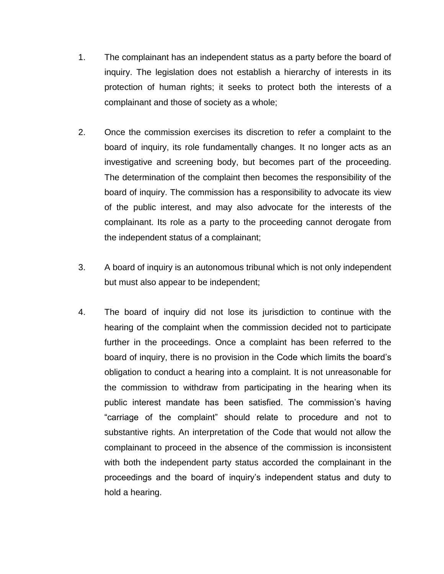- 1. The complainant has an independent status as a party before the board of inquiry. The legislation does not establish a hierarchy of interests in its protection of human rights; it seeks to protect both the interests of a complainant and those of society as a whole;
- 2. Once the commission exercises its discretion to refer a complaint to the board of inquiry, its role fundamentally changes. It no longer acts as an investigative and screening body, but becomes part of the proceeding. The determination of the complaint then becomes the responsibility of the board of inquiry. The commission has a responsibility to advocate its view of the public interest, and may also advocate for the interests of the complainant. Its role as a party to the proceeding cannot derogate from the independent status of a complainant;
- 3. A board of inquiry is an autonomous tribunal which is not only independent but must also appear to be independent;
- 4. The board of inquiry did not lose its jurisdiction to continue with the hearing of the complaint when the commission decided not to participate further in the proceedings. Once a complaint has been referred to the board of inquiry, there is no provision in the Code which limits the board"s obligation to conduct a hearing into a complaint. It is not unreasonable for the commission to withdraw from participating in the hearing when its public interest mandate has been satisfied. The commission's having "carriage of the complaint" should relate to procedure and not to substantive rights. An interpretation of the Code that would not allow the complainant to proceed in the absence of the commission is inconsistent with both the independent party status accorded the complainant in the proceedings and the board of inquiry"s independent status and duty to hold a hearing.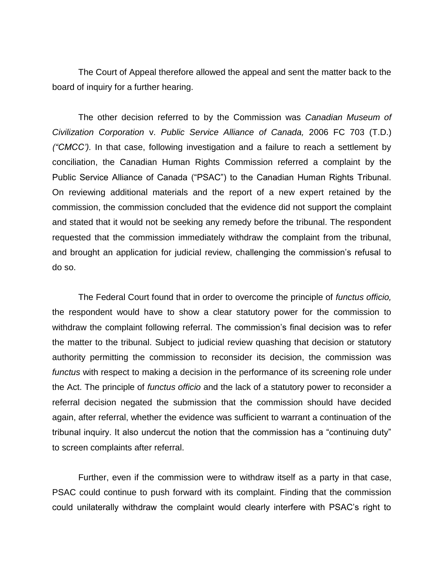The Court of Appeal therefore allowed the appeal and sent the matter back to the board of inquiry for a further hearing.

The other decision referred to by the Commission was *Canadian Museum of Civilization Corporation* v. *Public Service Alliance of Canada,* 2006 FC 703 (T.D.) *("CMCC').* In that case, following investigation and a failure to reach a settlement by conciliation, the Canadian Human Rights Commission referred a complaint by the Public Service Alliance of Canada ("PSAC") to the Canadian Human Rights Tribunal. On reviewing additional materials and the report of a new expert retained by the commission, the commission concluded that the evidence did not support the complaint and stated that it would not be seeking any remedy before the tribunal. The respondent requested that the commission immediately withdraw the complaint from the tribunal, and brought an application for judicial review, challenging the commission's refusal to do so.

The Federal Court found that in order to overcome the principle of *functus officio,*  the respondent would have to show a clear statutory power for the commission to withdraw the complaint following referral. The commission's final decision was to refer the matter to the tribunal. Subject to judicial review quashing that decision or statutory authority permitting the commission to reconsider its decision, the commission was *functus* with respect to making a decision in the performance of its screening role under the Act. The principle of *functus officio* and the lack of a statutory power to reconsider a referral decision negated the submission that the commission should have decided again, after referral, whether the evidence was sufficient to warrant a continuation of the tribunal inquiry. It also undercut the notion that the commission has a "continuing duty" to screen complaints after referral.

Further, even if the commission were to withdraw itself as a party in that case, PSAC could continue to push forward with its complaint. Finding that the commission could unilaterally withdraw the complaint would clearly interfere with PSAC"s right to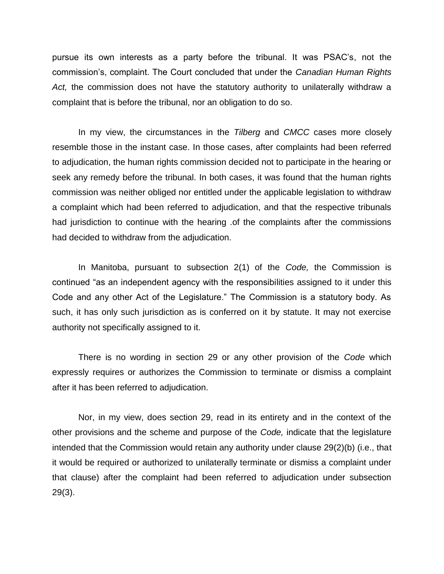pursue its own interests as a party before the tribunal. It was PSAC"s, not the commission"s, complaint. The Court concluded that under the *Canadian Human Rights Act,* the commission does not have the statutory authority to unilaterally withdraw a complaint that is before the tribunal, nor an obligation to do so.

In my view, the circumstances in the *Tilberg* and *CMCC* cases more closely resemble those in the instant case. In those cases, after complaints had been referred to adjudication, the human rights commission decided not to participate in the hearing or seek any remedy before the tribunal. In both cases, it was found that the human rights commission was neither obliged nor entitled under the applicable legislation to withdraw a complaint which had been referred to adjudication, and that the respective tribunals had jurisdiction to continue with the hearing .of the complaints after the commissions had decided to withdraw from the adjudication.

In Manitoba, pursuant to subsection 2(1) of the *Code,* the Commission is continued "as an independent agency with the responsibilities assigned to it under this Code and any other Act of the Legislature." The Commission is a statutory body. As such, it has only such jurisdiction as is conferred on it by statute. It may not exercise authority not specifically assigned to it.

There is no wording in section 29 or any other provision of the *Code* which expressly requires or authorizes the Commission to terminate or dismiss a complaint after it has been referred to adjudication.

Nor, in my view, does section 29, read in its entirety and in the context of the other provisions and the scheme and purpose of the *Code,* indicate that the legislature intended that the Commission would retain any authority under clause 29(2)(b) (i.e., that it would be required or authorized to unilaterally terminate or dismiss a complaint under that clause) after the complaint had been referred to adjudication under subsection 29(3).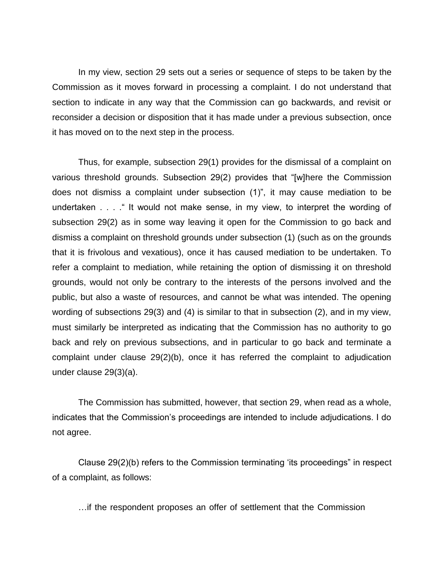In my view, section 29 sets out a series or sequence of steps to be taken by the Commission as it moves forward in processing a complaint. I do not understand that section to indicate in any way that the Commission can go backwards, and revisit or reconsider a decision or disposition that it has made under a previous subsection, once it has moved on to the next step in the process.

Thus, for example, subsection 29(1) provides for the dismissal of a complaint on various threshold grounds. Subsection 29(2) provides that "[w]here the Commission does not dismiss a complaint under subsection (1)", it may cause mediation to be undertaken . . . ." It would not make sense, in my view, to interpret the wording of subsection 29(2) as in some way leaving it open for the Commission to go back and dismiss a complaint on threshold grounds under subsection (1) (such as on the grounds that it is frivolous and vexatious), once it has caused mediation to be undertaken. To refer a complaint to mediation, while retaining the option of dismissing it on threshold grounds, would not only be contrary to the interests of the persons involved and the public, but also a waste of resources, and cannot be what was intended. The opening wording of subsections 29(3) and (4) is similar to that in subsection (2), and in my view, must similarly be interpreted as indicating that the Commission has no authority to go back and rely on previous subsections, and in particular to go back and terminate a complaint under clause 29(2)(b), once it has referred the complaint to adjudication under clause 29(3)(a).

The Commission has submitted, however, that section 29, when read as a whole, indicates that the Commission's proceedings are intended to include adjudications. I do not agree.

Clause 29(2)(b) refers to the Commission terminating "its proceedings" in respect of a complaint, as follows:

…if the respondent proposes an offer of settlement that the Commission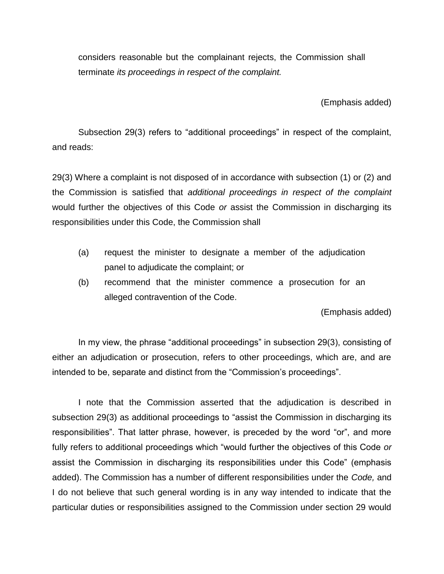considers reasonable but the complainant rejects, the Commission shall terminate *its proceedings in respect of the complaint.* 

(Emphasis added)

Subsection 29(3) refers to "additional proceedings" in respect of the complaint, and reads:

29(3) Where a complaint is not disposed of in accordance with subsection (1) or (2) and the Commission is satisfied that *additional proceedings in respect of the complaint*  would further the objectives of this Code *or* assist the Commission in discharging its responsibilities under this Code, the Commission shall

- (a) request the minister to designate a member of the adjudication panel to adjudicate the complaint; or
- (b) recommend that the minister commence a prosecution for an alleged contravention of the Code.

(Emphasis added)

In my view, the phrase "additional proceedings" in subsection 29(3), consisting of either an adjudication or prosecution, refers to other proceedings, which are, and are intended to be, separate and distinct from the "Commission's proceedings".

I note that the Commission asserted that the adjudication is described in subsection 29(3) as additional proceedings to "assist the Commission in discharging its responsibilities". That latter phrase, however, is preceded by the word "or", and more fully refers to additional proceedings which "would further the objectives of this Code *or*  assist the Commission in discharging its responsibilities under this Code" (emphasis added). The Commission has a number of different responsibilities under the *Code,* and I do not believe that such general wording is in any way intended to indicate that the particular duties or responsibilities assigned to the Commission under section 29 would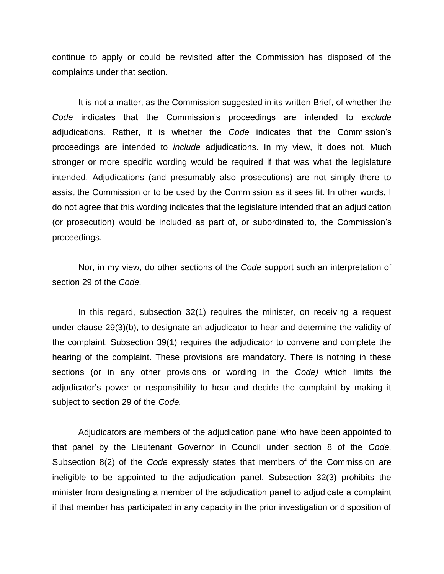continue to apply or could be revisited after the Commission has disposed of the complaints under that section.

It is not a matter, as the Commission suggested in its written Brief, of whether the *Code* indicates that the Commission"s proceedings are intended to *exclude*  adjudications. Rather, it is whether the *Code* indicates that the Commission"s proceedings are intended to *include* adjudications. In my view, it does not. Much stronger or more specific wording would be required if that was what the legislature intended. Adjudications (and presumably also prosecutions) are not simply there to assist the Commission or to be used by the Commission as it sees fit. In other words, I do not agree that this wording indicates that the legislature intended that an adjudication (or prosecution) would be included as part of, or subordinated to, the Commission"s proceedings.

Nor, in my view, do other sections of the *Code* support such an interpretation of section 29 of the *Code.* 

In this regard, subsection 32(1) requires the minister, on receiving a request under clause 29(3)(b), to designate an adjudicator to hear and determine the validity of the complaint. Subsection 39(1) requires the adjudicator to convene and complete the hearing of the complaint. These provisions are mandatory. There is nothing in these sections (or in any other provisions or wording in the *Code)* which limits the adjudicator"s power or responsibility to hear and decide the complaint by making it subject to section 29 of the *Code.* 

Adjudicators are members of the adjudication panel who have been appointed to that panel by the Lieutenant Governor in Council under section 8 of the *Code.*  Subsection 8(2) of the *Code* expressly states that members of the Commission are ineligible to be appointed to the adjudication panel. Subsection 32(3) prohibits the minister from designating a member of the adjudication panel to adjudicate a complaint if that member has participated in any capacity in the prior investigation or disposition of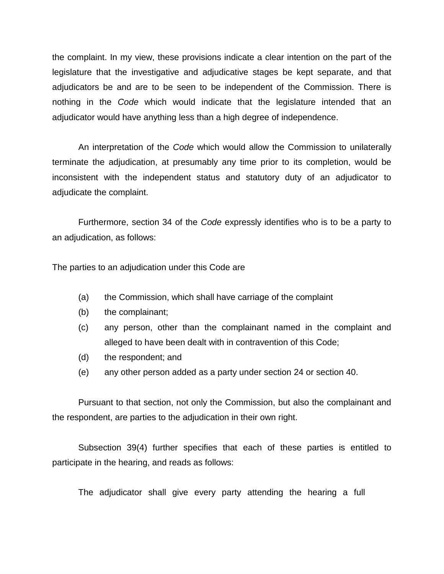the complaint. In my view, these provisions indicate a clear intention on the part of the legislature that the investigative and adjudicative stages be kept separate, and that adjudicators be and are to be seen to be independent of the Commission. There is nothing in the *Code* which would indicate that the legislature intended that an adjudicator would have anything less than a high degree of independence.

An interpretation of the *Code* which would allow the Commission to unilaterally terminate the adjudication, at presumably any time prior to its completion, would be inconsistent with the independent status and statutory duty of an adjudicator to adjudicate the complaint.

Furthermore, section 34 of the *Code* expressly identifies who is to be a party to an adjudication, as follows:

The parties to an adjudication under this Code are

- (a) the Commission, which shall have carriage of the complaint
- (b) the complainant;
- (c) any person, other than the complainant named in the complaint and alleged to have been dealt with in contravention of this Code;
- (d) the respondent; and
- (e) any other person added as a party under section 24 or section 40.

Pursuant to that section, not only the Commission, but also the complainant and the respondent, are parties to the adjudication in their own right.

Subsection 39(4) further specifies that each of these parties is entitled to participate in the hearing, and reads as follows:

The adjudicator shall give every party attending the hearing a full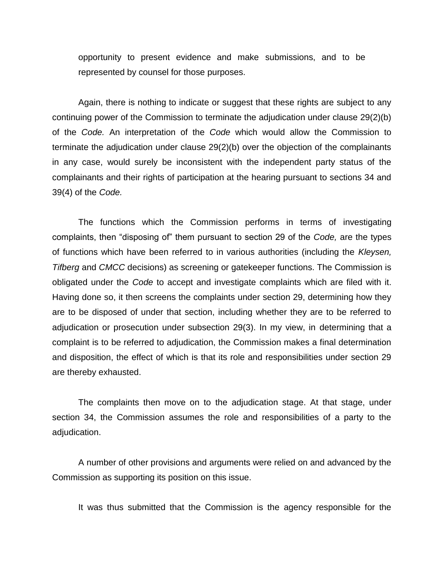opportunity to present evidence and make submissions, and to be represented by counsel for those purposes.

Again, there is nothing to indicate or suggest that these rights are subject to any continuing power of the Commission to terminate the adjudication under clause 29(2)(b) of the *Code.* An interpretation of the *Code* which would allow the Commission to terminate the adjudication under clause 29(2)(b) over the objection of the complainants in any case, would surely be inconsistent with the independent party status of the complainants and their rights of participation at the hearing pursuant to sections 34 and 39(4) of the *Code.* 

The functions which the Commission performs in terms of investigating complaints, then "disposing of" them pursuant to section 29 of the *Code,* are the types of functions which have been referred to in various authorities (including the *Kleysen, Tifberg* and *CMCC* decisions) as screening or gatekeeper functions. The Commission is obligated under the *Code* to accept and investigate complaints which are filed with it. Having done so, it then screens the complaints under section 29, determining how they are to be disposed of under that section, including whether they are to be referred to adjudication or prosecution under subsection 29(3). In my view, in determining that a complaint is to be referred to adjudication, the Commission makes a final determination and disposition, the effect of which is that its role and responsibilities under section 29 are thereby exhausted.

The complaints then move on to the adjudication stage. At that stage, under section 34, the Commission assumes the role and responsibilities of a party to the adjudication.

A number of other provisions and arguments were relied on and advanced by the Commission as supporting its position on this issue.

It was thus submitted that the Commission is the agency responsible for the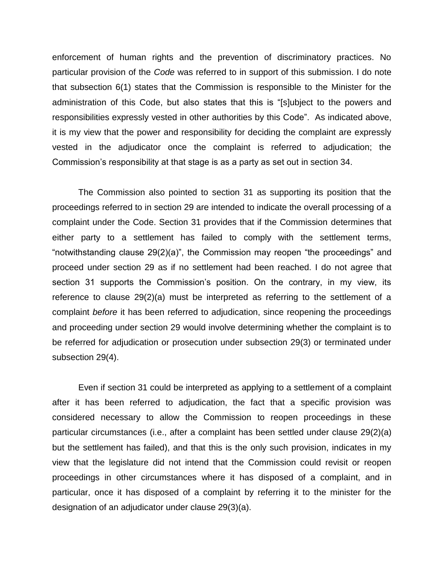enforcement of human rights and the prevention of discriminatory practices. No particular provision of the *Code* was referred to in support of this submission. I do note that subsection 6(1) states that the Commission is responsible to the Minister for the administration of this Code, but also states that this is "[s]ubject to the powers and responsibilities expressly vested in other authorities by this Code". As indicated above, it is my view that the power and responsibility for deciding the complaint are expressly vested in the adjudicator once the complaint is referred to adjudication; the Commission"s responsibility at that stage is as a party as set out in section 34.

The Commission also pointed to section 31 as supporting its position that the proceedings referred to in section 29 are intended to indicate the overall processing of a complaint under the Code. Section 31 provides that if the Commission determines that either party to a settlement has failed to comply with the settlement terms, "notwithstanding clause 29(2)(a)", the Commission may reopen "the proceedings" and proceed under section 29 as if no settlement had been reached. I do not agree that section 31 supports the Commission's position. On the contrary, in my view, its reference to clause 29(2)(a) must be interpreted as referring to the settlement of a complaint *before* it has been referred to adjudication, since reopening the proceedings and proceeding under section 29 would involve determining whether the complaint is to be referred for adjudication or prosecution under subsection 29(3) or terminated under subsection 29(4).

Even if section 31 could be interpreted as applying to a settlement of a complaint after it has been referred to adjudication, the fact that a specific provision was considered necessary to allow the Commission to reopen proceedings in these particular circumstances (i.e., after a complaint has been settled under clause 29(2)(a) but the settlement has failed), and that this is the only such provision, indicates in my view that the legislature did not intend that the Commission could revisit or reopen proceedings in other circumstances where it has disposed of a complaint, and in particular, once it has disposed of a complaint by referring it to the minister for the designation of an adjudicator under clause 29(3)(a).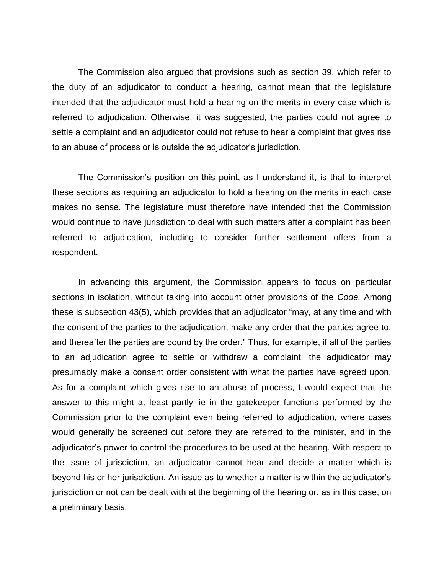The Commission also argued that provisions such as section 39, which refer to the duty of an adjudicator to conduct a hearing, cannot mean that the legislature intended that the adjudicator must hold a hearing on the merits in every case which is referred to adjudication. Otherwise, it was suggested, the parties could not agree to settle a complaint and an adjudicator could not refuse to hear a complaint that gives rise to an abuse of process or is outside the adjudicator"s jurisdiction.

The Commission"s position on this point, as I understand it, is that to interpret these sections as requiring an adjudicator to hold a hearing on the merits in each case makes no sense. The legislature must therefore have intended that the Commission would continue to have jurisdiction to deal with such matters after a complaint has been referred to adjudication, including to consider further settlement offers from a respondent.

In advancing this argument, the Commission appears to focus on particular sections in isolation, without taking into account other provisions of the *Code.* Among these is subsection 43(5), which provides that an adjudicator "may, at any time and with the consent of the parties to the adjudication, make any order that the parties agree to, and thereafter the parties are bound by the order." Thus, for example, if all of the parties to an adjudication agree to settle or withdraw a complaint, the adjudicator may presumably make a consent order consistent with what the parties have agreed upon. As for a complaint which gives rise to an abuse of process, I would expect that the answer to this might at least partly lie in the gatekeeper functions performed by the Commission prior to the complaint even being referred to adjudication, where cases would generally be screened out before they are referred to the minister, and in the adjudicator"s power to control the procedures to be used at the hearing. With respect to the issue of jurisdiction, an adjudicator cannot hear and decide a matter which is beyond his or her jurisdiction. An issue as to whether a matter is within the adjudicator"s jurisdiction or not can be dealt with at the beginning of the hearing or, as in this case, on a preliminary basis.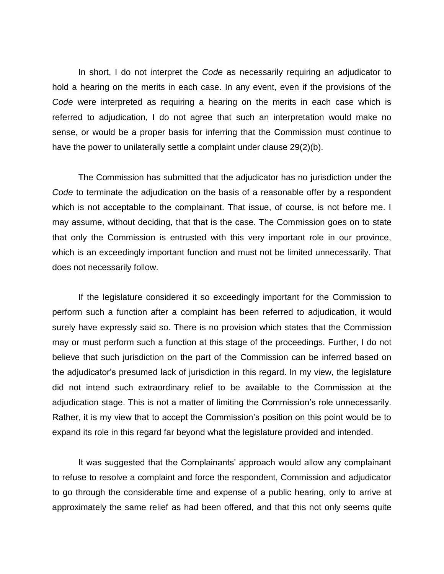In short, I do not interpret the *Code* as necessarily requiring an adjudicator to hold a hearing on the merits in each case. In any event, even if the provisions of the *Code* were interpreted as requiring a hearing on the merits in each case which is referred to adjudication, I do not agree that such an interpretation would make no sense, or would be a proper basis for inferring that the Commission must continue to have the power to unilaterally settle a complaint under clause 29(2)(b).

The Commission has submitted that the adjudicator has no jurisdiction under the *Code* to terminate the adjudication on the basis of a reasonable offer by a respondent which is not acceptable to the complainant. That issue, of course, is not before me. I may assume, without deciding, that that is the case. The Commission goes on to state that only the Commission is entrusted with this very important role in our province, which is an exceedingly important function and must not be limited unnecessarily. That does not necessarily follow.

If the legislature considered it so exceedingly important for the Commission to perform such a function after a complaint has been referred to adjudication, it would surely have expressly said so. There is no provision which states that the Commission may or must perform such a function at this stage of the proceedings. Further, I do not believe that such jurisdiction on the part of the Commission can be inferred based on the adjudicator"s presumed lack of jurisdiction in this regard. In my view, the legislature did not intend such extraordinary relief to be available to the Commission at the adjudication stage. This is not a matter of limiting the Commission's role unnecessarily. Rather, it is my view that to accept the Commission"s position on this point would be to expand its role in this regard far beyond what the legislature provided and intended.

It was suggested that the Complainants' approach would allow any complainant to refuse to resolve a complaint and force the respondent, Commission and adjudicator to go through the considerable time and expense of a public hearing, only to arrive at approximately the same relief as had been offered, and that this not only seems quite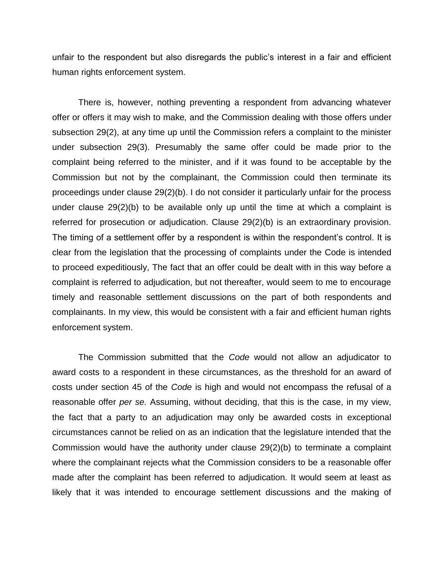unfair to the respondent but also disregards the public"s interest in a fair and efficient human rights enforcement system.

There is, however, nothing preventing a respondent from advancing whatever offer or offers it may wish to make*,* and the Commission dealing with those offers under subsection 29(2), at any time up until the Commission refers a complaint to the minister under subsection 29(3). Presumably the same offer could be made prior to the complaint being referred to the minister, and if it was found to be acceptable by the Commission but not by the complainant, the Commission could then terminate its proceedings under clause 29(2)(b). I do not consider it particularly unfair for the process under clause 29(2)(b) to be available only up until the time at which a complaint is referred for prosecution or adjudication. Clause 29(2)(b) is an extraordinary provision. The timing of a settlement offer by a respondent is within the respondent's control. It is clear from the legislation that the processing of complaints under the Code is intended to proceed expeditiously, The fact that an offer could be dealt with in this way before a complaint is referred to adjudication, but not thereafter, would seem to me to encourage timely and reasonable settlement discussions on the part of both respondents and complainants. In my view, this would be consistent with a fair and efficient human rights enforcement system.

The Commission submitted that the *Code* would not allow an adjudicator to award costs to a respondent in these circumstances, as the threshold for an award of costs under section 45 of the *Code* is high and would not encompass the refusal of a reasonable offer *per se.* Assuming, without deciding, that this is the case, in my view, the fact that a party to an adjudication may only be awarded costs in exceptional circumstances cannot be relied on as an indication that the legislature intended that the Commission would have the authority under clause 29(2)(b) to terminate a complaint where the complainant rejects what the Commission considers to be a reasonable offer made after the complaint has been referred to adjudication. It would seem at least as likely that it was intended to encourage settlement discussions and the making of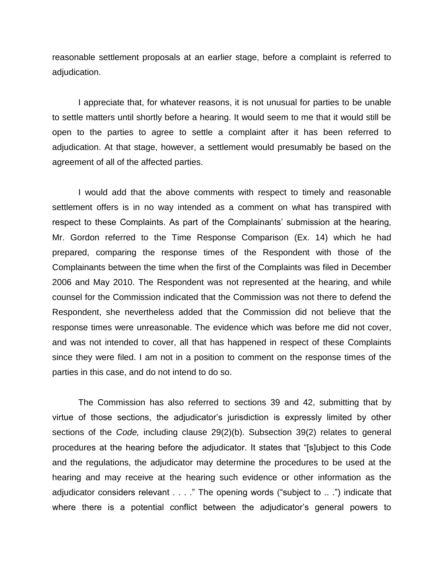reasonable settlement proposals at an earlier stage, before a complaint is referred to adjudication.

I appreciate that, for whatever reasons, it is not unusual for parties to be unable to settle matters until shortly before a hearing. It would seem to me that it would still be open to the parties to agree to settle a complaint after it has been referred to adjudication. At that stage, however, a settlement would presumably be based on the agreement of all of the affected parties.

I would add that the above comments with respect to timely and reasonable settlement offers is in no way intended as a comment on what has transpired with respect to these Complaints. As part of the Complainants' submission at the hearing, Mr. Gordon referred to the Time Response Comparison (Ex. 14) which he had prepared, comparing the response times of the Respondent with those of the Complainants between the time when the first of the Complaints was filed in December 2006 and May 2010. The Respondent was not represented at the hearing, and while counsel for the Commission indicated that the Commission was not there to defend the Respondent, she nevertheless added that the Commission did not believe that the response times were unreasonable. The evidence which was before me did not cover, and was not intended to cover, all that has happened in respect of these Complaints since they were filed. I am not in a position to comment on the response times of the parties in this case, and do not intend to do so.

The Commission has also referred to sections 39 and 42, submitting that by virtue of those sections, the adjudicator"s jurisdiction is expressly limited by other sections of the *Code,* including clause 29(2)(b). Subsection 39(2) relates to general procedures at the hearing before the adjudicator. It states that "[s]ubject to this Code and the regulations, the adjudicator may determine the procedures to be used at the hearing and may receive at the hearing such evidence or other information as the adjudicator considers relevant . . . ." The opening words ("subject to .. .") indicate that where there is a potential conflict between the adjudicator's general powers to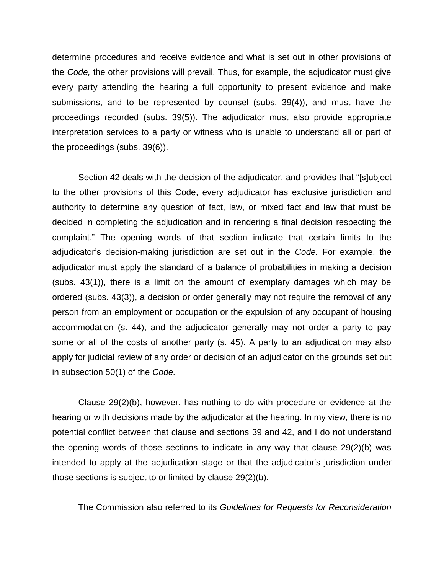determine procedures and receive evidence and what is set out in other provisions of the *Code,* the other provisions will prevail. Thus, for example, the adjudicator must give every party attending the hearing a full opportunity to present evidence and make submissions, and to be represented by counsel (subs. 39(4)), and must have the proceedings recorded (subs. 39(5)). The adjudicator must also provide appropriate interpretation services to a party or witness who is unable to understand all or part of the proceedings (subs. 39(6)).

Section 42 deals with the decision of the adjudicator, and provides that "[s]ubject to the other provisions of this Code, every adjudicator has exclusive jurisdiction and authority to determine any question of fact, law, or mixed fact and law that must be decided in completing the adjudication and in rendering a final decision respecting the complaint." The opening words of that section indicate that certain limits to the adjudicator"s decision-making jurisdiction are set out in the *Code.* For example, the adjudicator must apply the standard of a balance of probabilities in making a decision (subs. 43(1)), there is a limit on the amount of exemplary damages which may be ordered (subs. 43(3)), a decision or order generally may not require the removal of any person from an employment or occupation or the expulsion of any occupant of housing accommodation (s. 44), and the adjudicator generally may not order a party to pay some or all of the costs of another party (s. 45). A party to an adjudication may also apply for judicial review of any order or decision of an adjudicator on the grounds set out in subsection 50(1) of the *Code.* 

Clause 29(2)(b), however, has nothing to do with procedure or evidence at the hearing or with decisions made by the adjudicator at the hearing. In my view, there is no potential conflict between that clause and sections 39 and 42, and I do not understand the opening words of those sections to indicate in any way that clause 29(2)(b) was intended to apply at the adjudication stage or that the adjudicator"s jurisdiction under those sections is subject to or limited by clause 29(2)(b).

The Commission also referred to its *Guidelines for Requests for Reconsideration*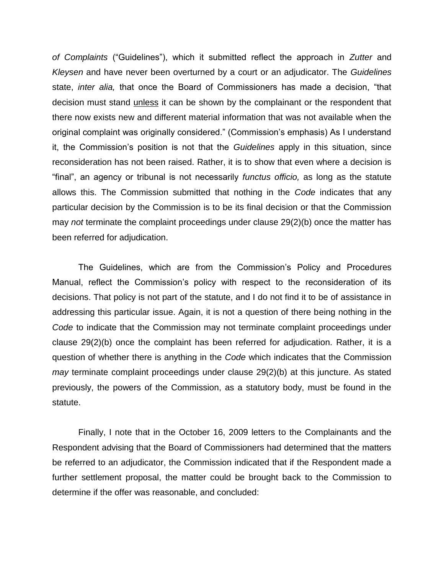*of Complaints* ("Guidelines"), which it submitted reflect the approach in *Zutter* and *Kleysen* and have never been overturned by a court or an adjudicator. The *Guidelines*  state, *inter alia,* that once the Board of Commissioners has made a decision, "that decision must stand unless it can be shown by the complainant or the respondent that there now exists new and different material information that was not available when the original complaint was originally considered." (Commission"s emphasis) As I understand it, the Commission"s position is not that the *Guidelines* apply in this situation, since reconsideration has not been raised. Rather, it is to show that even where a decision is "final", an agency or tribunal is not necessarily *functus officio,* as long as the statute allows this. The Commission submitted that nothing in the *Code* indicates that any particular decision by the Commission is to be its final decision or that the Commission may *not* terminate the complaint proceedings under clause 29(2)(b) once the matter has been referred for adjudication.

The Guidelines, which are from the Commission's Policy and Procedures Manual, reflect the Commission's policy with respect to the reconsideration of its decisions. That policy is not part of the statute, and I do not find it to be of assistance in addressing this particular issue. Again, it is not a question of there being nothing in the *Code* to indicate that the Commission may not terminate complaint proceedings under clause 29(2)(b) once the complaint has been referred for adjudication. Rather, it is a question of whether there is anything in the *Code* which indicates that the Commission *may* terminate complaint proceedings under clause 29(2)(b) at this juncture. As stated previously, the powers of the Commission, as a statutory body, must be found in the statute.

Finally, I note that in the October 16, 2009 letters to the Complainants and the Respondent advising that the Board of Commissioners had determined that the matters be referred to an adjudicator, the Commission indicated that if the Respondent made a further settlement proposal, the matter could be brought back to the Commission to determine if the offer was reasonable, and concluded: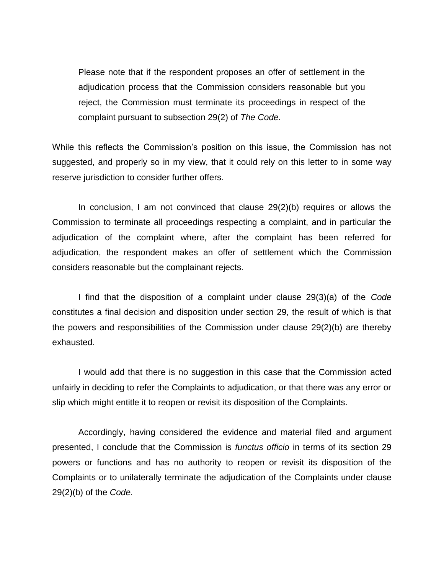Please note that if the respondent proposes an offer of settlement in the adjudication process that the Commission considers reasonable but you reject, the Commission must terminate its proceedings in respect of the complaint pursuant to subsection 29(2) of *The Code.* 

While this reflects the Commission's position on this issue, the Commission has not suggested, and properly so in my view, that it could rely on this letter to in some way reserve jurisdiction to consider further offers.

In conclusion, I am not convinced that clause 29(2)(b) requires or allows the Commission to terminate all proceedings respecting a complaint, and in particular the adjudication of the complaint where, after the complaint has been referred for adjudication, the respondent makes an offer of settlement which the Commission considers reasonable but the complainant rejects.

I find that the disposition of a complaint under clause 29(3)(a) of the *Code*  constitutes a final decision and disposition under section 29, the result of which is that the powers and responsibilities of the Commission under clause 29(2)(b) are thereby exhausted.

I would add that there is no suggestion in this case that the Commission acted unfairly in deciding to refer the Complaints to adjudication, or that there was any error or slip which might entitle it to reopen or revisit its disposition of the Complaints.

Accordingly, having considered the evidence and material filed and argument presented, I conclude that the Commission is *functus officio* in terms of its section 29 powers or functions and has no authority to reopen or revisit its disposition of the Complaints or to unilaterally terminate the adjudication of the Complaints under clause 29(2)(b) of the *Code.*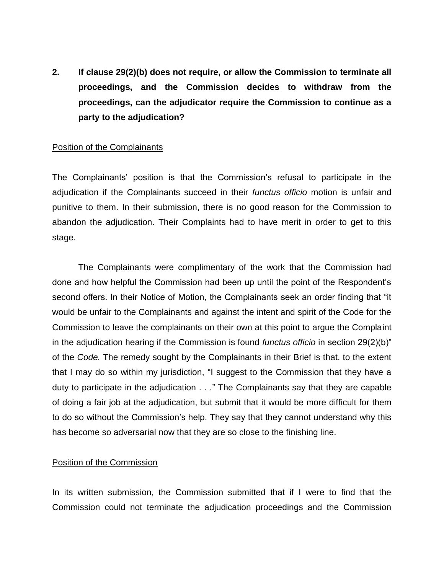**2. If clause 29(2)(b) does not require, or allow the Commission to terminate all proceedings, and the Commission decides to withdraw from the proceedings, can the adjudicator require the Commission to continue as a party to the adjudication?** 

# Position of the Complainants

The Complainants" position is that the Commission"s refusal to participate in the adjudication if the Complainants succeed in their *functus officio* motion is unfair and punitive to them. In their submission, there is no good reason for the Commission to abandon the adjudication. Their Complaints had to have merit in order to get to this stage.

The Complainants were complimentary of the work that the Commission had done and how helpful the Commission had been up until the point of the Respondent"s second offers. In their Notice of Motion, the Complainants seek an order finding that "it would be unfair to the Complainants and against the intent and spirit of the Code for the Commission to leave the complainants on their own at this point to argue the Complaint in the adjudication hearing if the Commission is found *functus officio* in section 29(2)(b)" of the *Code.* The remedy sought by the Complainants in their Brief is that, to the extent that I may do so within my jurisdiction, "I suggest to the Commission that they have a duty to participate in the adjudication . . ." The Complainants say that they are capable of doing a fair job at the adjudication, but submit that it would be more difficult for them to do so without the Commission"s help. They say that they cannot understand why this has become so adversarial now that they are so close to the finishing line.

# Position of the Commission

In its written submission, the Commission submitted that if I were to find that the Commission could not terminate the adjudication proceedings and the Commission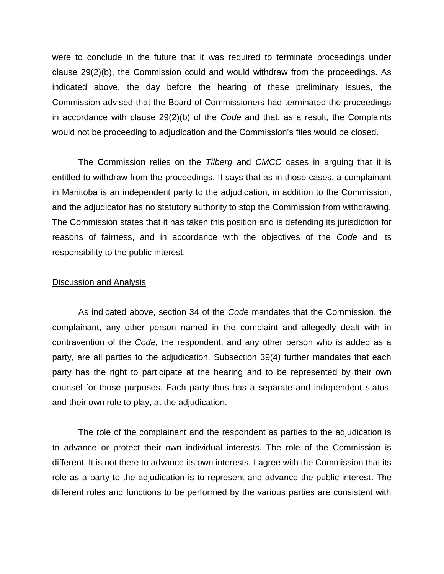were to conclude in the future that it was required to terminate proceedings under clause 29(2)(b), the Commission could and would withdraw from the proceedings. As indicated above, the day before the hearing of these preliminary issues, the Commission advised that the Board of Commissioners had terminated the proceedings in accordance with clause 29(2)(b) of the *Code* and that, as a result, the Complaints would not be proceeding to adjudication and the Commission"s files would be closed.

The Commission relies on the *Tilberg* and *CMCC* cases in arguing that it is entitled to withdraw from the proceedings. It says that as in those cases, a complainant in Manitoba is an independent party to the adjudication, in addition to the Commission, and the adjudicator has no statutory authority to stop the Commission from withdrawing. The Commission states that it has taken this position and is defending its jurisdiction for reasons of fairness, and in accordance with the objectives of the *Code* and its responsibility to the public interest.

#### Discussion and Analysis

As indicated above, section 34 of the *Code* mandates that the Commission, the complainant, any other person named in the complaint and allegedly dealt with in contravention of the *Code,* the respondent, and any other person who is added as a party, are all parties to the adjudication. Subsection 39(4) further mandates that each party has the right to participate at the hearing and to be represented by their own counsel for those purposes. Each party thus has a separate and independent status, and their own role to play, at the adjudication.

The role of the complainant and the respondent as parties to the adjudication is to advance or protect their own individual interests. The role of the Commission is different. It is not there to advance its own interests. I agree with the Commission that its role as a party to the adjudication is to represent and advance the public interest. The different roles and functions to be performed by the various parties are consistent with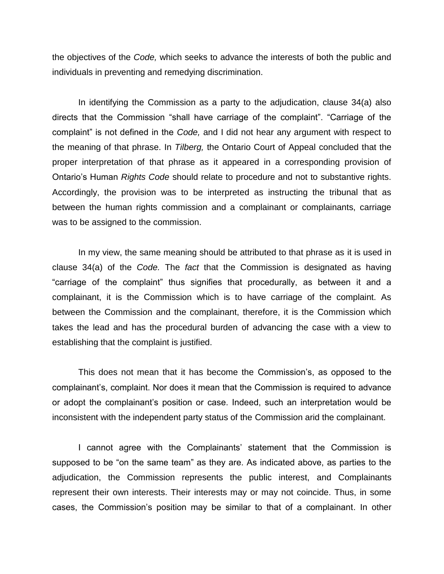the objectives of the *Code,* which seeks to advance the interests of both the public and individuals in preventing and remedying discrimination.

In identifying the Commission as a party to the adjudication, clause 34(a) also directs that the Commission "shall have carriage of the complaint". "Carriage of the complaint" is not defined in the *Code,* and I did not hear any argument with respect to the meaning of that phrase. In *Tilberg,* the Ontario Court of Appeal concluded that the proper interpretation of that phrase as it appeared in a corresponding provision of Ontario"s Human *Rights Code* should relate to procedure and not to substantive rights. Accordingly, the provision was to be interpreted as instructing the tribunal that as between the human rights commission and a complainant or complainants, carriage was to be assigned to the commission.

In my view, the same meaning should be attributed to that phrase as it is used in clause 34(a) of the *Code.* The *fact* that the Commission is designated as having "carriage of the complaint" thus signifies that procedurally, as between it and a complainant, it is the Commission which is to have carriage of the complaint. As between the Commission and the complainant, therefore, it is the Commission which takes the lead and has the procedural burden of advancing the case with a view to establishing that the complaint is justified.

This does not mean that it has become the Commission"s, as opposed to the complainant"s, complaint. Nor does it mean that the Commission is required to advance or adopt the complainant"s position or case. Indeed, such an interpretation would be inconsistent with the independent party status of the Commission arid the complainant.

I cannot agree with the Complainants' statement that the Commission is supposed to be "on the same team" as they are. As indicated above, as parties to the adjudication, the Commission represents the public interest, and Complainants represent their own interests. Their interests may or may not coincide. Thus, in some cases, the Commission"s position may be similar to that of a complainant. In other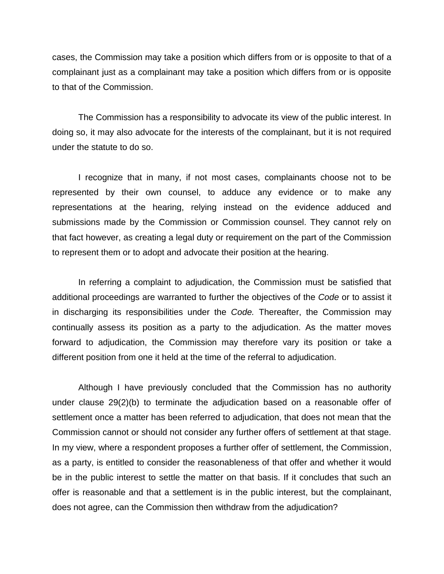cases, the Commission may take a position which differs from or is opposite to that of a complainant just as a complainant may take a position which differs from or is opposite to that of the Commission.

The Commission has a responsibility to advocate its view of the public interest. In doing so, it may also advocate for the interests of the complainant, but it is not required under the statute to do so.

I recognize that in many, if not most cases, complainants choose not to be represented by their own counsel, to adduce any evidence or to make any representations at the hearing, relying instead on the evidence adduced and submissions made by the Commission or Commission counsel. They cannot rely on that fact however, as creating a legal duty or requirement on the part of the Commission to represent them or to adopt and advocate their position at the hearing.

In referring a complaint to adjudication, the Commission must be satisfied that additional proceedings are warranted to further the objectives of the *Code* or to assist it in discharging its responsibilities under the *Code.* Thereafter, the Commission may continually assess its position as a party to the adjudication. As the matter moves forward to adjudication, the Commission may therefore vary its position or take a different position from one it held at the time of the referral to adjudication.

Although I have previously concluded that the Commission has no authority under clause 29(2)(b) to terminate the adjudication based on a reasonable offer of settlement once a matter has been referred to adjudication, that does not mean that the Commission cannot or should not consider any further offers of settlement at that stage. In my view, where a respondent proposes a further offer of settlement, the Commission, as a party, is entitled to consider the reasonableness of that offer and whether it would be in the public interest to settle the matter on that basis. If it concludes that such an offer is reasonable and that a settlement is in the public interest, but the complainant, does not agree, can the Commission then withdraw from the adjudication?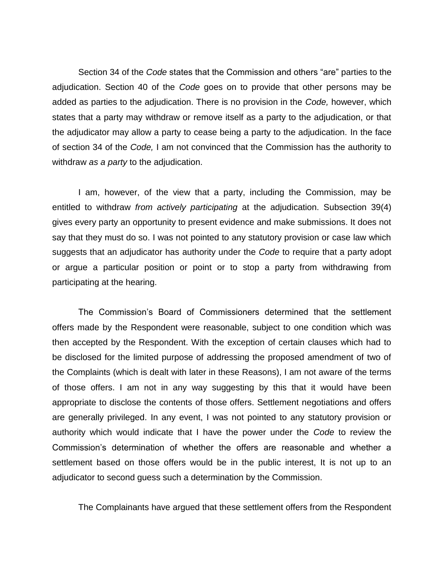Section 34 of the *Code* states that the Commission and others "are" parties to the adjudication. Section 40 of the *Code* goes on to provide that other persons may be added as parties to the adjudication. There is no provision in the *Code,* however, which states that a party may withdraw or remove itself as a party to the adjudication, or that the adjudicator may allow a party to cease being a party to the adjudication. In the face of section 34 of the *Code,* I am not convinced that the Commission has the authority to withdraw *as a party* to the adjudication.

I am, however, of the view that a party, including the Commission, may be entitled to withdraw *from actively participating* at the adjudication. Subsection 39(4) gives every party an opportunity to present evidence and make submissions. It does not say that they must do so. I was not pointed to any statutory provision or case law which suggests that an adjudicator has authority under the *Code* to require that a party adopt or argue a particular position or point or to stop a party from withdrawing from participating at the hearing.

The Commission"s Board of Commissioners determined that the settlement offers made by the Respondent were reasonable, subject to one condition which was then accepted by the Respondent. With the exception of certain clauses which had to be disclosed for the limited purpose of addressing the proposed amendment of two of the Complaints (which is dealt with later in these Reasons), I am not aware of the terms of those offers. I am not in any way suggesting by this that it would have been appropriate to disclose the contents of those offers. Settlement negotiations and offers are generally privileged. In any event, I was not pointed to any statutory provision or authority which would indicate that I have the power under the *Code* to review the Commission"s determination of whether the offers are reasonable and whether a settlement based on those offers would be in the public interest, It is not up to an adjudicator to second guess such a determination by the Commission.

The Complainants have argued that these settlement offers from the Respondent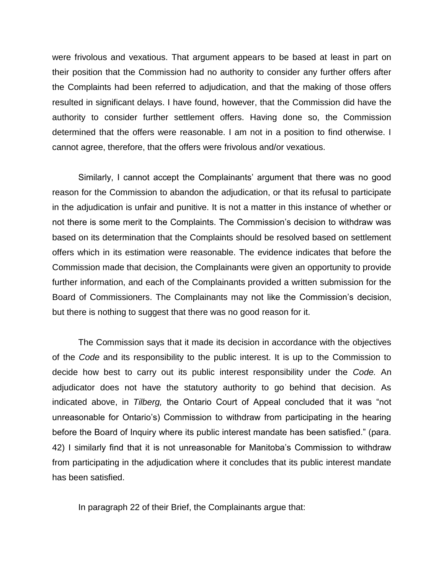were frivolous and vexatious. That argument appears to be based at least in part on their position that the Commission had no authority to consider any further offers after the Complaints had been referred to adjudication, and that the making of those offers resulted in significant delays. I have found, however, that the Commission did have the authority to consider further settlement offers. Having done so, the Commission determined that the offers were reasonable. I am not in a position to find otherwise. I cannot agree, therefore, that the offers were frivolous and/or vexatious.

Similarly, I cannot accept the Complainants' argument that there was no good reason for the Commission to abandon the adjudication, or that its refusal to participate in the adjudication is unfair and punitive. It is not a matter in this instance of whether or not there is some merit to the Complaints. The Commission"s decision to withdraw was based on its determination that the Complaints should be resolved based on settlement offers which in its estimation were reasonable. The evidence indicates that before the Commission made that decision, the Complainants were given an opportunity to provide further information, and each of the Complainants provided a written submission for the Board of Commissioners. The Complainants may not like the Commission"s decision, but there is nothing to suggest that there was no good reason for it.

The Commission says that it made its decision in accordance with the objectives of the *Code* and its responsibility to the public interest. It is up to the Commission to decide how best to carry out its public interest responsibility under the *Code.* An adjudicator does not have the statutory authority to go behind that decision. As indicated above, in *Tilberg,* the Ontario Court of Appeal concluded that it was "not unreasonable for Ontario"s) Commission to withdraw from participating in the hearing before the Board of Inquiry where its public interest mandate has been satisfied." (para. 42) I similarly find that it is not unreasonable for Manitoba"s Commission to withdraw from participating in the adjudication where it concludes that its public interest mandate has been satisfied.

In paragraph 22 of their Brief, the Complainants argue that: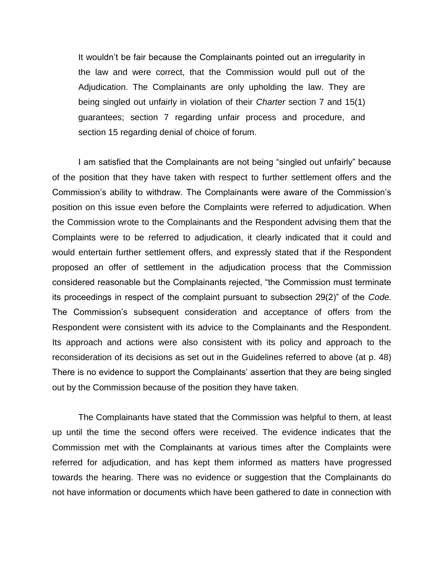It wouldn"t be fair because the Complainants pointed out an irregularity in the law and were correct, that the Commission would pull out of the Adjudication. The Complainants are only upholding the law. They are being singled out unfairly in violation of their *Charter* section 7 and 15(1) guarantees; section 7 regarding unfair process and procedure, and section 15 regarding denial of choice of forum.

I am satisfied that the Complainants are not being "singled out unfairly" because of the position that they have taken with respect to further settlement offers and the Commission's ability to withdraw. The Complainants were aware of the Commission's position on this issue even before the Complaints were referred to adjudication. When the Commission wrote to the Complainants and the Respondent advising them that the Complaints were to be referred to adjudication, it clearly indicated that it could and would entertain further settlement offers, and expressly stated that if the Respondent proposed an offer of settlement in the adjudication process that the Commission considered reasonable but the Complainants rejected, "the Commission must terminate its proceedings in respect of the complaint pursuant to subsection 29(2)" of the *Code.*  The Commission's subsequent consideration and acceptance of offers from the Respondent were consistent with its advice to the Complainants and the Respondent. Its approach and actions were also consistent with its policy and approach to the reconsideration of its decisions as set out in the Guidelines referred to above (at p. 48) There is no evidence to support the Complainants' assertion that they are being singled out by the Commission because of the position they have taken.

The Complainants have stated that the Commission was helpful to them, at least up until the time the second offers were received. The evidence indicates that the Commission met with the Complainants at various times after the Complaints were referred for adjudication, and has kept them informed as matters have progressed towards the hearing. There was no evidence or suggestion that the Complainants do not have information or documents which have been gathered to date in connection with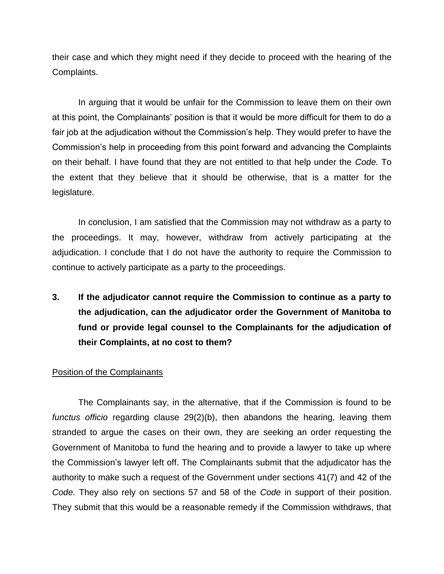their case and which they might need if they decide to proceed with the hearing of the Complaints.

In arguing that it would be unfair for the Commission to leave them on their own at this point, the Complainants' position is that it would be more difficult for them to do a fair job at the adjudication without the Commission's help. They would prefer to have the Commission"s help in proceeding from this point forward and advancing the Complaints on their behalf. I have found that they are not entitled to that help under the *Code.* To the extent that they believe that it should be otherwise, that is a matter for the legislature.

In conclusion, I am satisfied that the Commission may not withdraw as a party to the proceedings. It may, however, withdraw from actively participating at the adjudication. I conclude that I do not have the authority to require the Commission to continue to actively participate as a party to the proceedings.

**3. If the adjudicator cannot require the Commission to continue as a party to the adjudication, can the adjudicator order the Government of Manitoba to fund or provide legal counsel to the Complainants for the adjudication of their Complaints, at no cost to them?** 

## Position of the Complainants

The Complainants say, in the alternative, that if the Commission is found to be *functus officio* regarding clause 29(2)(b), then abandons the hearing, leaving them stranded to argue the cases on their own, they are seeking an order requesting the Government of Manitoba to fund the hearing and to provide a lawyer to take up where the Commission"s lawyer left off. The Complainants submit that the adjudicator has the authority to make such a request of the Government under sections 41(7) and 42 of the *Code.* They also rely on sections 57 and 58 of the *Code* in support of their position. They submit that this would be a reasonable remedy if the Commission withdraws, that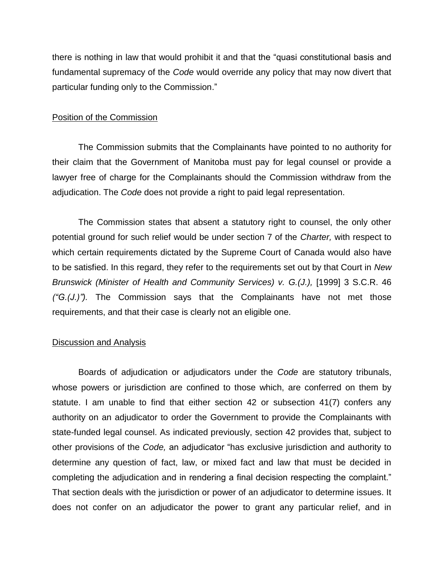there is nothing in law that would prohibit it and that the "quasi constitutional basis and fundamental supremacy of the *Code* would override any policy that may now divert that particular funding only to the Commission."

## Position of the Commission

The Commission submits that the Complainants have pointed to no authority for their claim that the Government of Manitoba must pay for legal counsel or provide a lawyer free of charge for the Complainants should the Commission withdraw from the adjudication. The *Code* does not provide a right to paid legal representation.

The Commission states that absent a statutory right to counsel, the only other potential ground for such relief would be under section 7 of the *Charter,* with respect to which certain requirements dictated by the Supreme Court of Canada would also have to be satisfied. In this regard, they refer to the requirements set out by that Court in *New Brunswick (Minister of Health and Community Services) v. G.(J.),* [1999] 3 S.C.R. 46 *("G.(J.)").* The Commission says that the Complainants have not met those requirements, and that their case is clearly not an eligible one.

#### Discussion and Analysis

Boards of adjudication or adjudicators under the *Code* are statutory tribunals, whose powers or jurisdiction are confined to those which, are conferred on them by statute. I am unable to find that either section 42 or subsection 41(7) confers any authority on an adjudicator to order the Government to provide the Complainants with state-funded legal counsel. As indicated previously, section 42 provides that, subject to other provisions of the *Code,* an adjudicator "has exclusive jurisdiction and authority to determine any question of fact, law, or mixed fact and law that must be decided in completing the adjudication and in rendering a final decision respecting the complaint." That section deals with the jurisdiction or power of an adjudicator to determine issues. It does not confer on an adjudicator the power to grant any particular relief, and in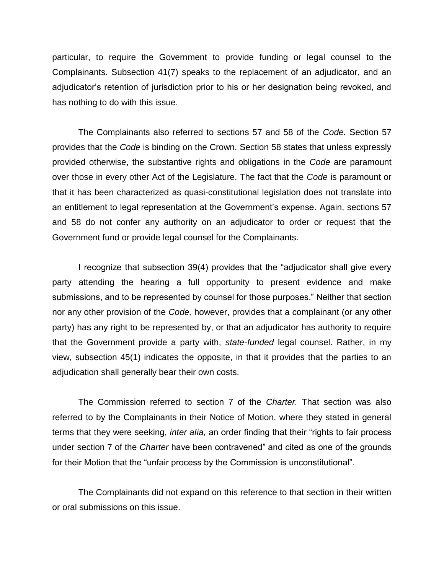particular, to require the Government to provide funding or legal counsel to the Complainants. Subsection 41(7) speaks to the replacement of an adjudicator, and an adjudicator"s retention of jurisdiction prior to his or her designation being revoked, and has nothing to do with this issue.

The Complainants also referred to sections 57 and 58 of the *Code.* Section 57 provides that the *Code* is binding on the Crown. Section 58 states that unless expressly provided otherwise, the substantive rights and obligations in the *Code* are paramount over those in every other Act of the Legislature. The fact that the *Code* is paramount or that it has been characterized as quasi-constitutional legislation does not translate into an entitlement to legal representation at the Government"s expense. Again, sections 57 and 58 do not confer any authority on an adjudicator to order or request that the Government fund or provide legal counsel for the Complainants.

I recognize that subsection 39(4) provides that the "adjudicator shall give every party attending the hearing a full opportunity to present evidence and make submissions, and to be represented by counsel for those purposes." Neither that section nor any other provision of the *Code,* however, provides that a complainant (or any other party) has any right to be represented by, or that an adjudicator has authority to require that the Government provide a party with, *state-funded* legal counsel. Rather, in my view, subsection 45(1) indicates the opposite, in that it provides that the parties to an adjudication shall generally bear their own costs.

The Commission referred to section 7 of the *Charter.* That section was also referred to by the Complainants in their Notice of Motion, where they stated in general terms that they were seeking, *inter aIia,* an order finding that their "rights to fair process under section 7 of the *Charter* have been contravened" and cited as one of the grounds for their Motion that the "unfair process by the Commission is unconstitutional".

The Complainants did not expand on this reference to that section in their written or oral submissions on this issue.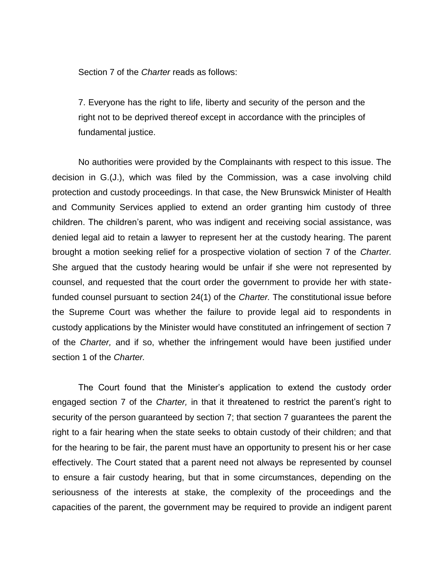Section 7 of the *Charter* reads as follows:

7. Everyone has the right to life, liberty and security of the person and the right not to be deprived thereof except in accordance with the principles of fundamental justice.

No authorities were provided by the Complainants with respect to this issue. The decision in G.(J.), which was filed by the Commission, was a case involving child protection and custody proceedings. In that case, the New Brunswick Minister of Health and Community Services applied to extend an order granting him custody of three children. The children"s parent, who was indigent and receiving social assistance, was denied legal aid to retain a lawyer to represent her at the custody hearing. The parent brought a motion seeking relief for a prospective violation of section 7 of the *Charter.*  She argued that the custody hearing would be unfair if she were not represented by counsel, and requested that the court order the government to provide her with statefunded counsel pursuant to section 24(1) of the *Charter.* The constitutional issue before the Supreme Court was whether the failure to provide legal aid to respondents in custody applications by the Minister would have constituted an infringement of section 7 of the *Charter,* and if so, whether the infringement would have been justified under section 1 of the *Charter.* 

The Court found that the Minister"s application to extend the custody order engaged section 7 of the *Charter*, in that it threatened to restrict the parent's right to security of the person guaranteed by section 7; that section 7 guarantees the parent the right to a fair hearing when the state seeks to obtain custody of their children; and that for the hearing to be fair, the parent must have an opportunity to present his or her case effectively. The Court stated that a parent need not always be represented by counsel to ensure a fair custody hearing, but that in some circumstances, depending on the seriousness of the interests at stake, the complexity of the proceedings and the capacities of the parent, the government may be required to provide an indigent parent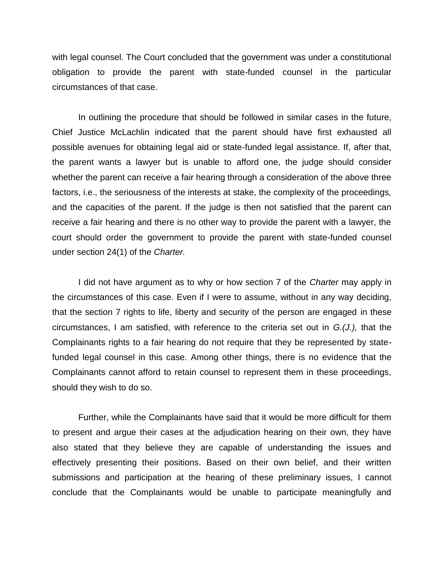with legal counsel. The Court concluded that the government was under a constitutional obligation to provide the parent with state-funded counsel in the particular circumstances of that case.

In outlining the procedure that should be followed in similar cases in the future, Chief Justice McLachlin indicated that the parent should have first exhausted all possible avenues for obtaining legal aid or state-funded legal assistance. If, after that, the parent wants a lawyer but is unable to afford one, the judge should consider whether the parent can receive a fair hearing through a consideration of the above three factors, i.e., the seriousness of the interests at stake, the complexity of the proceedings, and the capacities of the parent. If the judge is then not satisfied that the parent can receive a fair hearing and there is no other way to provide the parent with a lawyer, the court should order the government to provide the parent with state-funded counsel under section 24(1) of the *Charter.* 

I did not have argument as to why or how section 7 of the *Charter* may apply in the circumstances of this case. Even if I were to assume, without in any way deciding, that the section 7 rights to life, liberty and security of the person are engaged in these circumstances, I am satisfied, with reference to the criteria set out in *G.(J.),* that the Complainants rights to a fair hearing do not require that they be represented by statefunded legal counsel in this case. Among other things, there is no evidence that the Complainants cannot afford to retain counsel to represent them in these proceedings, should they wish to do so.

Further, while the Complainants have said that it would be more difficult for them to present and argue their cases at the adjudication hearing on their own, they have also stated that they believe they are capable of understanding the issues and effectively presenting their positions. Based on their own belief, and their written submissions and participation at the hearing of these preliminary issues, I cannot conclude that the Complainants would be unable to participate meaningfully and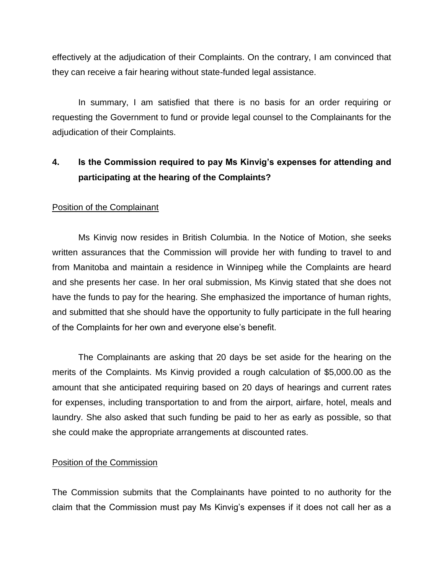effectively at the adjudication of their Complaints. On the contrary, I am convinced that they can receive a fair hearing without state-funded legal assistance.

In summary, I am satisfied that there is no basis for an order requiring or requesting the Government to fund or provide legal counsel to the Complainants for the adjudication of their Complaints.

# **4. Is the Commission required to pay Ms Kinvig's expenses for attending and participating at the hearing of the Complaints?**

# Position of the Complainant

Ms Kinvig now resides in British Columbia. In the Notice of Motion, she seeks written assurances that the Commission will provide her with funding to travel to and from Manitoba and maintain a residence in Winnipeg while the Complaints are heard and she presents her case. In her oral submission, Ms Kinvig stated that she does not have the funds to pay for the hearing. She emphasized the importance of human rights, and submitted that she should have the opportunity to fully participate in the full hearing of the Complaints for her own and everyone else"s benefit.

The Complainants are asking that 20 days be set aside for the hearing on the merits of the Complaints. Ms Kinvig provided a rough calculation of \$5,000.00 as the amount that she anticipated requiring based on 20 days of hearings and current rates for expenses, including transportation to and from the airport, airfare, hotel, meals and laundry. She also asked that such funding be paid to her as early as possible, so that she could make the appropriate arrangements at discounted rates.

## Position of the Commission

The Commission submits that the Complainants have pointed to no authority for the claim that the Commission must pay Ms Kinvig"s expenses if it does not call her as a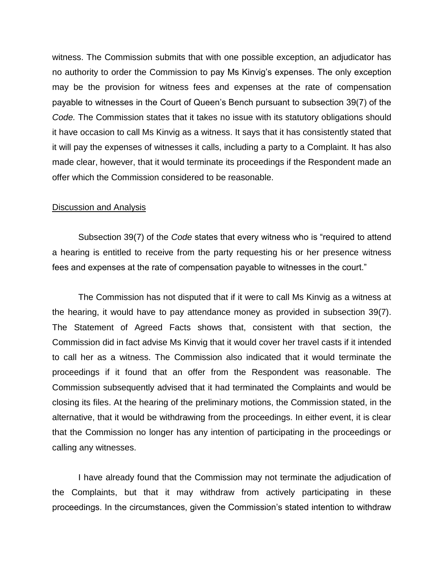witness. The Commission submits that with one possible exception, an adjudicator has no authority to order the Commission to pay Ms Kinvig"s expenses. The only exception may be the provision for witness fees and expenses at the rate of compensation payable to witnesses in the Court of Queen"s Bench pursuant to subsection 39(7) of the *Code.* The Commission states that it takes no issue with its statutory obligations should it have occasion to call Ms Kinvig as a witness. It says that it has consistently stated that it will pay the expenses of witnesses it calls, including a party to a Complaint. It has also made clear, however, that it would terminate its proceedings if the Respondent made an offer which the Commission considered to be reasonable.

#### Discussion and Analysis

Subsection 39(7) of the *Code* states that every witness who is "required to attend a hearing is entitled to receive from the party requesting his or her presence witness fees and expenses at the rate of compensation payable to witnesses in the court."

The Commission has not disputed that if it were to call Ms Kinvig as a witness at the hearing, it would have to pay attendance money as provided in subsection 39(7). The Statement of Agreed Facts shows that, consistent with that section, the Commission did in fact advise Ms Kinvig that it would cover her travel casts if it intended to call her as a witness. The Commission also indicated that it would terminate the proceedings if it found that an offer from the Respondent was reasonable. The Commission subsequently advised that it had terminated the Complaints and would be closing its files. At the hearing of the preliminary motions, the Commission stated, in the alternative, that it would be withdrawing from the proceedings. In either event, it is clear that the Commission no longer has any intention of participating in the proceedings or calling any witnesses.

I have already found that the Commission may not terminate the adjudication of the Complaints, but that it may withdraw from actively participating in these proceedings. In the circumstances, given the Commission"s stated intention to withdraw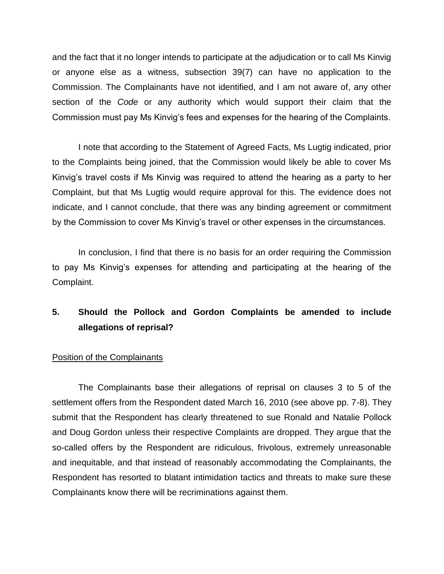and the fact that it no longer intends to participate at the adjudication or to call Ms Kinvig or anyone else as a witness, subsection 39(7) can have no application to the Commission. The Complainants have not identified, and I am not aware of, any other section of the *Code* or any authority which would support their claim that the Commission must pay Ms Kinvig"s fees and expenses for the hearing of the Complaints.

I note that according to the Statement of Agreed Facts, Ms Lugtig indicated, prior to the Complaints being joined, that the Commission would likely be able to cover Ms Kinvig"s travel costs if Ms Kinvig was required to attend the hearing as a party to her Complaint, but that Ms Lugtig would require approval for this. The evidence does not indicate, and I cannot conclude, that there was any binding agreement or commitment by the Commission to cover Ms Kinvig"s travel or other expenses in the circumstances.

In conclusion, I find that there is no basis for an order requiring the Commission to pay Ms Kinvig"s expenses for attending and participating at the hearing of the Complaint.

# **5. Should the Pollock and Gordon Complaints be amended to include allegations of reprisal?**

# Position of the Complainants

The Complainants base their allegations of reprisal on clauses 3 to 5 of the settlement offers from the Respondent dated March 16, 2010 (see above pp. 7-8). They submit that the Respondent has clearly threatened to sue Ronald and Natalie Pollock and Doug Gordon unless their respective Complaints are dropped. They argue that the so-called offers by the Respondent are ridiculous, frivolous, extremely unreasonable and inequitable, and that instead of reasonably accommodating the Complainants, the Respondent has resorted to blatant intimidation tactics and threats to make sure these Complainants know there will be recriminations against them.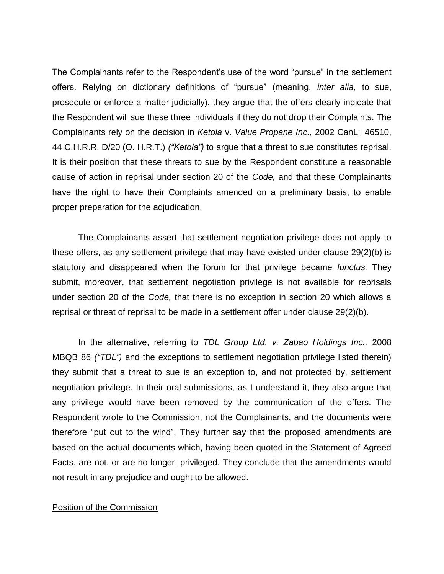The Complainants refer to the Respondent"s use of the word "pursue" in the settlement offers. Relying on dictionary definitions of "pursue" (meaning, *inter alia,* to sue, prosecute or enforce a matter judicially), they argue that the offers clearly indicate that the Respondent will sue these three individuals if they do not drop their Complaints. The Complainants rely on the decision in *Ketola* v. *Value Propane Inc.,* 2002 CanLil 46510, 44 C.H.R.R. D/20 (O. H.R.T.) *("Ketola")* to argue that a threat to sue constitutes reprisal. It is their position that these threats to sue by the Respondent constitute a reasonable cause of action in reprisal under section 20 of the *Code,* and that these Complainants have the right to have their Complaints amended on a preliminary basis, to enable proper preparation for the adjudication.

The Complainants assert that settlement negotiation privilege does not apply to these offers, as any settlement privilege that may have existed under clause 29(2)(b) is statutory and disappeared when the forum for that privilege became *functus.* They submit, moreover, that settlement negotiation privilege is not available for reprisals under section 20 of the *Code,* that there is no exception in section 20 which allows a reprisal or threat of reprisal to be made in a settlement offer under clause 29(2)(b).

In the alternative, referring to *TDL Group Ltd. v. Zabao Holdings Inc.,* 2008 MBQB 86 *("TDL")* and the exceptions to settlement negotiation privilege listed therein) they submit that a threat to sue is an exception to, and not protected by, settlement negotiation privilege. In their oral submissions, as I understand it, they also argue that any privilege would have been removed by the communication of the offers. The Respondent wrote to the Commission, not the Complainants, and the documents were therefore "put out to the wind", They further say that the proposed amendments are based on the actual documents which, having been quoted in the Statement of Agreed Facts, are not, or are no longer, privileged. They conclude that the amendments would not result in any prejudice and ought to be allowed.

## Position of the Commission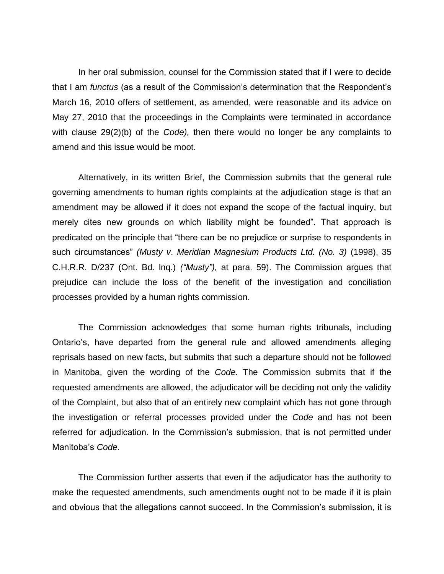In her oral submission, counsel for the Commission stated that if I were to decide that I am *functus* (as a result of the Commission"s determination that the Respondent"s March 16, 2010 offers of settlement, as amended, were reasonable and its advice on May 27, 2010 that the proceedings in the Complaints were terminated in accordance with clause 29(2)(b) of the *Code),* then there would no longer be any complaints to amend and this issue would be moot.

Alternatively, in its written Brief, the Commission submits that the general rule governing amendments to human rights complaints at the adjudication stage is that an amendment may be allowed if it does not expand the scope of the factual inquiry, but merely cites new grounds on which liability might be founded". That approach is predicated on the principle that "there can be no prejudice or surprise to respondents in such circumstances" *(Musty v*. *Meridian Magnesium Products Ltd. (No. 3)* (1998), 35 C.H.R.R. D/237 (Ont. Bd. lnq.) *("Musty"),* at para. 59). The Commission argues that prejudice can include the loss of the benefit of the investigation and conciliation processes provided by a human rights commission.

The Commission acknowledges that some human rights tribunals, including Ontario"s, have departed from the general rule and allowed amendments alleging reprisals based on new facts, but submits that such a departure should not be followed in Manitoba, given the wording of the *Code.* The Commission submits that if the requested amendments are allowed, the adjudicator will be deciding not only the validity of the Complaint, but also that of an entirely new complaint which has not gone through the investigation or referral processes provided under the *Code* and has not been referred for adjudication. In the Commission"s submission, that is not permitted under Manitoba"s *Code.* 

The Commission further asserts that even if the adjudicator has the authority to make the requested amendments, such amendments ought not to be made if it is plain and obvious that the allegations cannot succeed. In the Commission's submission, it is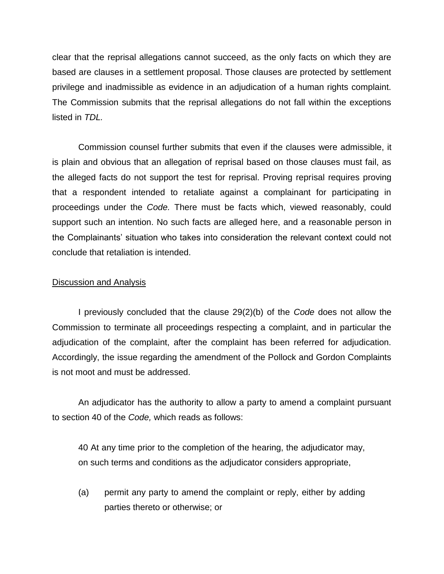clear that the reprisal allegations cannot succeed, as the only facts on which they are based are clauses in a settlement proposal. Those clauses are protected by settlement privilege and inadmissible as evidence in an adjudication of a human rights complaint. The Commission submits that the reprisal allegations do not fall within the exceptions listed in *TDL.* 

Commission counsel further submits that even if the clauses were admissible, it is plain and obvious that an allegation of reprisal based on those clauses must fail, as the alleged facts do not support the test for reprisal. Proving reprisal requires proving that a respondent intended to retaliate against a complainant for participating in proceedings under the *Code.* There must be facts which, viewed reasonably, could support such an intention. No such facts are alleged here, and a reasonable person in the Complainants" situation who takes into consideration the relevant context could not conclude that retaliation is intended.

## Discussion and Analysis

I previously concluded that the clause 29(2)(b) of the *Code* does not allow the Commission to terminate all proceedings respecting a complaint, and in particular the adjudication of the complaint, after the complaint has been referred for adjudication. Accordingly, the issue regarding the amendment of the Pollock and Gordon Complaints is not moot and must be addressed.

An adjudicator has the authority to allow a party to amend a complaint pursuant to section 40 of the *Code,* which reads as follows:

40 At any time prior to the completion of the hearing, the adjudicator may, on such terms and conditions as the adjudicator considers appropriate,

(a) permit any party to amend the complaint or reply, either by adding parties thereto or otherwise; or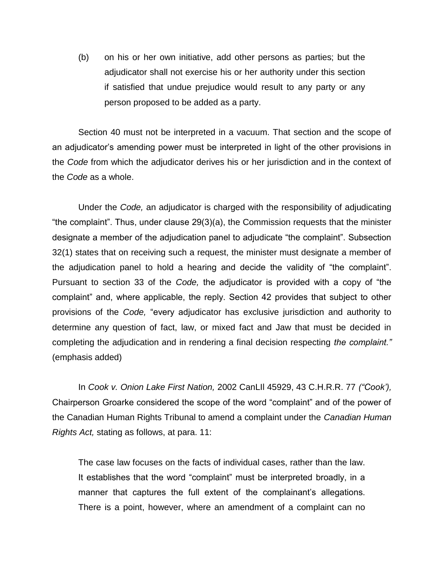(b) on his or her own initiative, add other persons as parties; but the adjudicator shall not exercise his or her authority under this section if satisfied that undue prejudice would result to any party or any person proposed to be added as a party.

Section 40 must not be interpreted in a vacuum. That section and the scope of an adjudicator's amending power must be interpreted in light of the other provisions in the *Code* from which the adjudicator derives his or her jurisdiction and in the context of the *Code* as a whole.

Under the *Code,* an adjudicator is charged with the responsibility of adjudicating "the complaint". Thus, under clause 29(3)(a), the Commission requests that the minister designate a member of the adjudication panel to adjudicate "the complaint". Subsection 32(1) states that on receiving such a request, the minister must designate a member of the adjudication panel to hold a hearing and decide the validity of "the complaint". Pursuant to section 33 of the *Code,* the adjudicator is provided with a copy of "the complaint" and, where applicable, the reply. Section 42 provides that subject to other provisions of the *Code,* "every adjudicator has exclusive jurisdiction and authority to determine any question of fact, law, or mixed fact and Jaw that must be decided in completing the adjudication and in rendering a final decision respecting *the complaint."*  (emphasis added)

In *Cook v. Onion Lake First Nation,* 2002 CanLIl 45929, 43 C.H.R.R. 77 *("Cook'),*  Chairperson Groarke considered the scope of the word "complaint" and of the power of the Canadian Human Rights Tribunal to amend a complaint under the *Canadian Human Rights Act,* stating as follows, at para. 11:

The case law focuses on the facts of individual cases, rather than the law. It establishes that the word "complaint" must be interpreted broadly, in a manner that captures the full extent of the complainant's allegations. There is a point, however, where an amendment of a complaint can no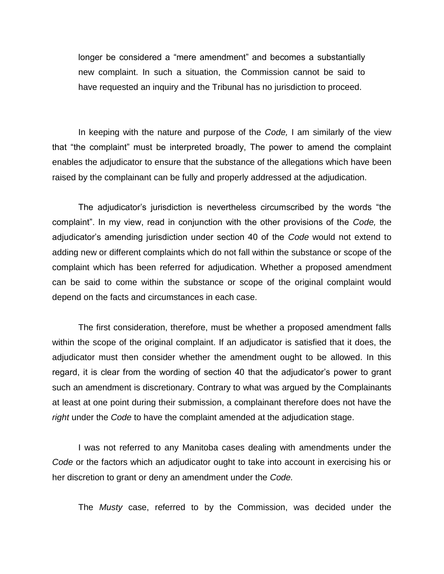longer be considered a "mere amendment" and becomes a substantially new complaint. In such a situation, the Commission cannot be said to have requested an inquiry and the Tribunal has no jurisdiction to proceed.

In keeping with the nature and purpose of the *Code,* I am similarly of the view that "the complaint" must be interpreted broadly, The power to amend the complaint enables the adjudicator to ensure that the substance of the allegations which have been raised by the complainant can be fully and properly addressed at the adjudication.

The adjudicator"s jurisdiction is nevertheless circumscribed by the words "the complaint". In my view, read in conjunction with the other provisions of the *Code,* the adjudicator"s amending jurisdiction under section 40 of the *Code* would not extend to adding new or different complaints which do not fall within the substance or scope of the complaint which has been referred for adjudication. Whether a proposed amendment can be said to come within the substance or scope of the original complaint would depend on the facts and circumstances in each case.

The first consideration, therefore, must be whether a proposed amendment falls within the scope of the original complaint. If an adjudicator is satisfied that it does, the adjudicator must then consider whether the amendment ought to be allowed. In this regard, it is clear from the wording of section 40 that the adjudicator"s power to grant such an amendment is discretionary. Contrary to what was argued by the Complainants at least at one point during their submission, a complainant therefore does not have the *right* under the *Code* to have the complaint amended at the adjudication stage.

I was not referred to any Manitoba cases dealing with amendments under the *Code* or the factors which an adjudicator ought to take into account in exercising his or her discretion to grant or deny an amendment under the *Code.* 

The *Musty* case, referred to by the Commission, was decided under the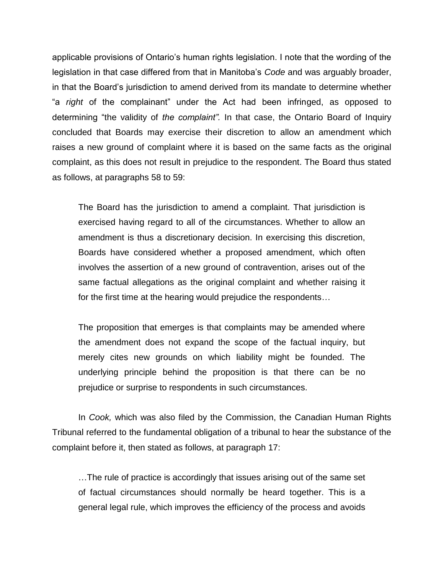applicable provisions of Ontario"s human rights legislation. I note that the wording of the legislation in that case differed from that in Manitoba"s *Code* and was arguably broader, in that the Board"s jurisdiction to amend derived from its mandate to determine whether "a *right* of the complainant" under the Act had been infringed, as opposed to determining "the validity of *the complaint".* In that case, the Ontario Board of Inquiry concluded that Boards may exercise their discretion to allow an amendment which raises a new ground of complaint where it is based on the same facts as the original complaint, as this does not result in prejudice to the respondent. The Board thus stated as follows, at paragraphs 58 to 59:

The Board has the jurisdiction to amend a complaint. That jurisdiction is exercised having regard to all of the circumstances. Whether to allow an amendment is thus a discretionary decision. In exercising this discretion, Boards have considered whether a proposed amendment, which often involves the assertion of a new ground of contravention, arises out of the same factual allegations as the original complaint and whether raising it for the first time at the hearing would prejudice the respondents…

The proposition that emerges is that complaints may be amended where the amendment does not expand the scope of the factual inquiry, but merely cites new grounds on which liability might be founded. The underlying principle behind the proposition is that there can be no prejudice or surprise to respondents in such circumstances.

In *Cook,* which was also filed by the Commission, the Canadian Human Rights Tribunal referred to the fundamental obligation of a tribunal to hear the substance of the complaint before it, then stated as follows, at paragraph 17:

…The rule of practice is accordingly that issues arising out of the same set of factual circumstances should normally be heard together. This is a general legal rule, which improves the efficiency of the process and avoids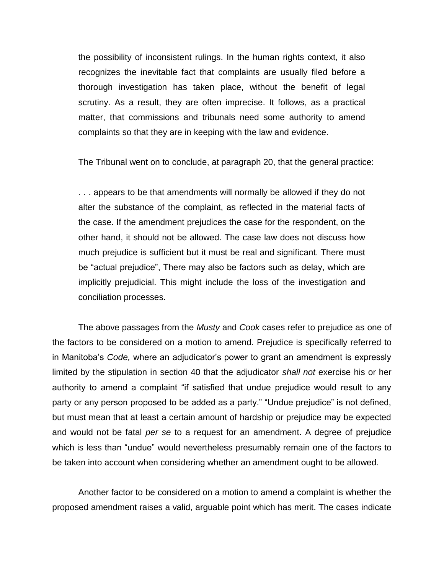the possibility of inconsistent rulings. In the human rights context, it also recognizes the inevitable fact that complaints are usually filed before a thorough investigation has taken place, without the benefit of legal scrutiny. As a result, they are often imprecise. It follows, as a practical matter, that commissions and tribunals need some authority to amend complaints so that they are in keeping with the law and evidence.

The Tribunal went on to conclude, at paragraph 20, that the general practice:

. . . appears to be that amendments will normally be allowed if they do not alter the substance of the complaint, as reflected in the material facts of the case. If the amendment prejudices the case for the respondent, on the other hand, it should not be allowed. The case law does not discuss how much prejudice is sufficient but it must be real and significant. There must be "actual prejudice", There may also be factors such as delay, which are implicitly prejudicial. This might include the loss of the investigation and conciliation processes.

The above passages from the *Musty* and *Cook* cases refer to prejudice as one of the factors to be considered on a motion to amend. Prejudice is specifically referred to in Manitoba"s *Code,* where an adjudicator"s power to grant an amendment is expressly limited by the stipulation in section 40 that the adjudicator *shall not* exercise his or her authority to amend a complaint "if satisfied that undue prejudice would result to any party or any person proposed to be added as a party." "Undue prejudice" is not defined, but must mean that at least a certain amount of hardship or prejudice may be expected and would not be fatal *per se* to a request for an amendment. A degree of prejudice which is less than "undue" would nevertheless presumably remain one of the factors to be taken into account when considering whether an amendment ought to be allowed.

Another factor to be considered on a motion to amend a complaint is whether the proposed amendment raises a valid, arguable point which has merit. The cases indicate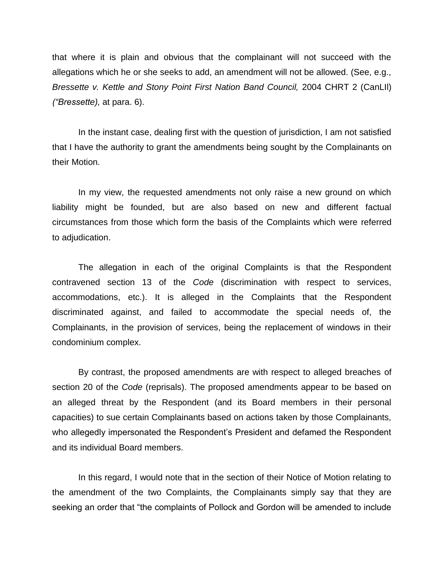that where it is plain and obvious that the complainant will not succeed with the allegations which he or she seeks to add, an amendment will not be allowed. (See, e.g., *Bressette v. Kettle and Stony Point First Nation Band Council,* 2004 CHRT 2 (CanLIl) *("Bressette),* at para. 6).

In the instant case, dealing first with the question of jurisdiction, I am not satisfied that I have the authority to grant the amendments being sought by the Complainants on their Motion.

In my view, the requested amendments not only raise a new ground on which liability might be founded, but are also based on new and different factual circumstances from those which form the basis of the Complaints which were referred to adjudication.

The allegation in each of the original Complaints is that the Respondent contravened section 13 of the *Code* (discrimination with respect to services, accommodations, etc.). It is alleged in the Complaints that the Respondent discriminated against, and failed to accommodate the special needs of, the Complainants, in the provision of services, being the replacement of windows in their condominium complex.

By contrast, the proposed amendments are with respect to alleged breaches of section 20 of the *Code* (reprisals). The proposed amendments appear to be based on an alleged threat by the Respondent (and its Board members in their personal capacities) to sue certain Complainants based on actions taken by those Complainants, who allegedly impersonated the Respondent's President and defamed the Respondent and its individual Board members.

In this regard, I would note that in the section of their Notice of Motion relating to the amendment of the two Complaints, the Complainants simply say that they are seeking an order that "the complaints of Pollock and Gordon will be amended to include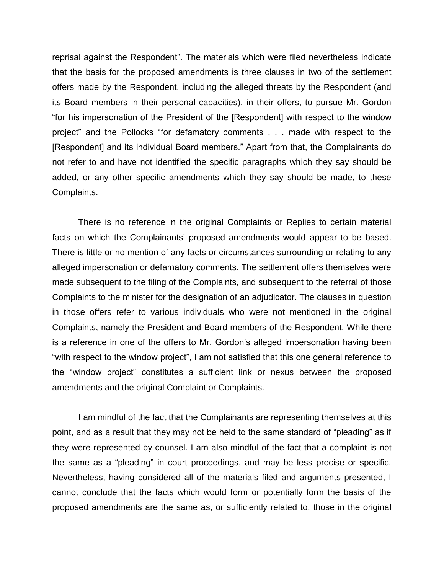reprisal against the Respondent". The materials which were filed nevertheless indicate that the basis for the proposed amendments is three clauses in two of the settlement offers made by the Respondent, including the alleged threats by the Respondent (and its Board members in their personal capacities), in their offers, to pursue Mr. Gordon "for his impersonation of the President of the [Respondent] with respect to the window project" and the Pollocks "for defamatory comments . . . made with respect to the [Respondent] and its individual Board members." Apart from that, the Complainants do not refer to and have not identified the specific paragraphs which they say should be added, or any other specific amendments which they say should be made, to these Complaints.

There is no reference in the original Complaints or Replies to certain material facts on which the Complainants' proposed amendments would appear to be based. There is little or no mention of any facts or circumstances surrounding or relating to any alleged impersonation or defamatory comments. The settlement offers themselves were made subsequent to the filing of the Complaints, and subsequent to the referral of those Complaints to the minister for the designation of an adjudicator. The clauses in question in those offers refer to various individuals who were not mentioned in the original Complaints, namely the President and Board members of the Respondent. While there is a reference in one of the offers to Mr. Gordon's alleged impersonation having been "with respect to the window project", I am not satisfied that this one general reference to the "window project" constitutes a sufficient link or nexus between the proposed amendments and the original Complaint or Complaints.

I am mindful of the fact that the Complainants are representing themselves at this point, and as a result that they may not be held to the same standard of "pleading" as if they were represented by counsel. I am also mindful of the fact that a complaint is not the same as a "pleading" in court proceedings, and may be less precise or specific. Nevertheless, having considered all of the materials filed and arguments presented, I cannot conclude that the facts which would form or potentially form the basis of the proposed amendments are the same as, or sufficiently related to, those in the original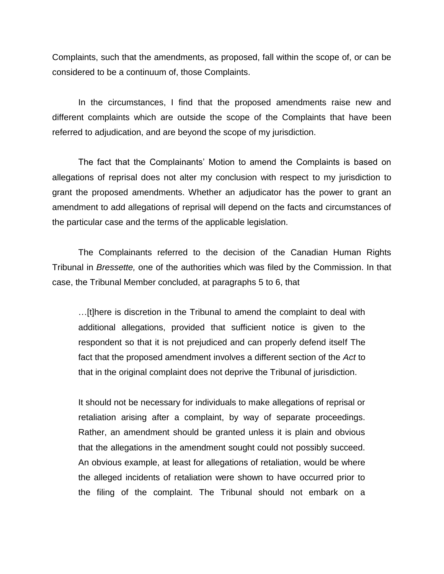Complaints, such that the amendments, as proposed, fall within the scope of, or can be considered to be a continuum of, those Complaints.

In the circumstances, I find that the proposed amendments raise new and different complaints which are outside the scope of the Complaints that have been referred to adjudication, and are beyond the scope of my jurisdiction.

The fact that the Complainants" Motion to amend the Complaints is based on allegations of reprisal does not alter my conclusion with respect to my jurisdiction to grant the proposed amendments. Whether an adjudicator has the power to grant an amendment to add allegations of reprisal will depend on the facts and circumstances of the particular case and the terms of the applicable legislation.

The Complainants referred to the decision of the Canadian Human Rights Tribunal in *Bressette,* one of the authorities which was filed by the Commission. In that case, the Tribunal Member concluded, at paragraphs 5 to 6, that

…[t]here is discretion in the Tribunal to amend the complaint to deal with additional allegations, provided that sufficient notice is given to the respondent so that it is not prejudiced and can properly defend itself The fact that the proposed amendment involves a different section of the *Act* to that in the original complaint does not deprive the Tribunal of jurisdiction.

It should not be necessary for individuals to make allegations of reprisal or retaliation arising after a complaint, by way of separate proceedings. Rather, an amendment should be granted unless it is plain and obvious that the allegations in the amendment sought could not possibly succeed. An obvious example, at least for allegations of retaliation, would be where the alleged incidents of retaliation were shown to have occurred prior to the filing of the complaint. The Tribunal should not embark on a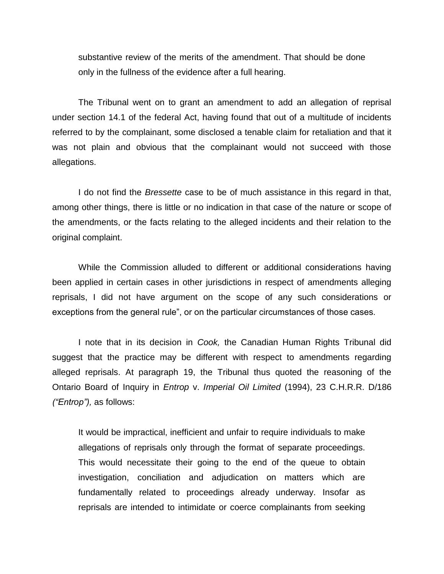substantive review of the merits of the amendment. That should be done only in the fullness of the evidence after a full hearing.

The Tribunal went on to grant an amendment to add an allegation of reprisal under section 14.1 of the federal Act, having found that out of a multitude of incidents referred to by the complainant, some disclosed a tenable claim for retaliation and that it was not plain and obvious that the complainant would not succeed with those allegations.

I do not find the *Bressette* case to be of much assistance in this regard in that, among other things, there is little or no indication in that case of the nature or scope of the amendments, or the facts relating to the alleged incidents and their relation to the original complaint.

While the Commission alluded to different or additional considerations having been applied in certain cases in other jurisdictions in respect of amendments alleging reprisals, I did not have argument on the scope of any such considerations or exceptions from the general rule", or on the particular circumstances of those cases.

I note that in its decision in *Cook,* the Canadian Human Rights Tribunal did suggest that the practice may be different with respect to amendments regarding alleged reprisals. At paragraph 19, the Tribunal thus quoted the reasoning of the Ontario Board of Inquiry in *Entrop* v. *Imperial Oil Limited* (1994), 23 C.H.R.R. D/186 *("Entrop"),* as follows:

It would be impractical, inefficient and unfair to require individuals to make allegations of reprisals only through the format of separate proceedings. This would necessitate their going to the end of the queue to obtain investigation, conciliation and adjudication on matters which are fundamentally related to proceedings already underway. Insofar as reprisals are intended to intimidate or coerce complainants from seeking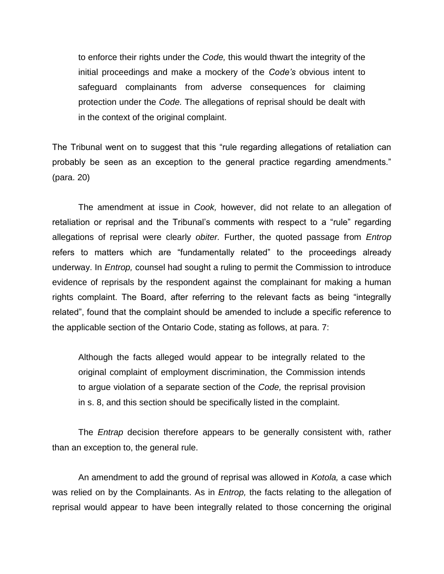to enforce their rights under the *Code,* this would thwart the integrity of the initial proceedings and make a mockery of the *Code's* obvious intent to safeguard complainants from adverse consequences for claiming protection under the *Code.* The allegations of reprisal should be dealt with in the context of the original complaint.

The Tribunal went on to suggest that this "rule regarding allegations of retaliation can probably be seen as an exception to the general practice regarding amendments." (para. 20)

The amendment at issue in *Cook,* however, did not relate to an allegation of retaliation or reprisal and the Tribunal"s comments with respect to a "rule" regarding allegations of reprisal were clearly *obiter.* Further, the quoted passage from *Entrop*  refers to matters which are "fundamentally related" to the proceedings already underway. In *Entrop,* counsel had sought a ruling to permit the Commission to introduce evidence of reprisals by the respondent against the complainant for making a human rights complaint. The Board, after referring to the relevant facts as being "integrally related", found that the complaint should be amended to include a specific reference to the applicable section of the Ontario Code, stating as follows, at para. 7:

Although the facts alleged would appear to be integrally related to the original complaint of employment discrimination, the Commission intends to argue violation of a separate section of the *Code,* the reprisal provision in s. 8, and this section should be specifically listed in the complaint.

The *Entrap* decision therefore appears to be generally consistent with, rather than an exception to, the general rule.

An amendment to add the ground of reprisal was allowed in *Kotola,* a case which was relied on by the Complainants. As in *Entrop,* the facts relating to the allegation of reprisal would appear to have been integrally related to those concerning the original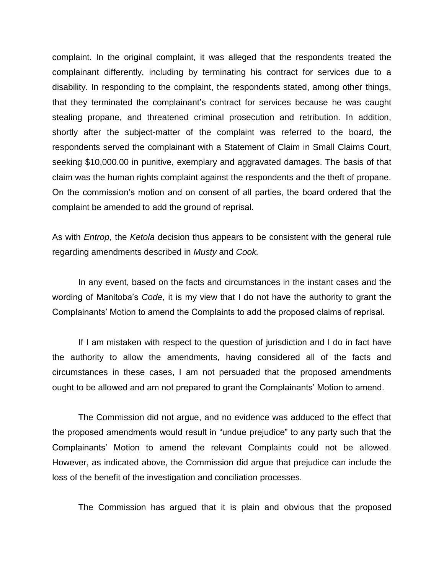complaint. In the original complaint, it was alleged that the respondents treated the complainant differently, including by terminating his contract for services due to a disability. In responding to the complaint, the respondents stated, among other things, that they terminated the complainant"s contract for services because he was caught stealing propane, and threatened criminal prosecution and retribution. In addition, shortly after the subject-matter of the complaint was referred to the board, the respondents served the complainant with a Statement of Claim in Small Claims Court, seeking \$10,000.00 in punitive, exemplary and aggravated damages. The basis of that claim was the human rights complaint against the respondents and the theft of propane. On the commission"s motion and on consent of all parties, the board ordered that the complaint be amended to add the ground of reprisal.

As with *Entrop,* the *Ketola* decision thus appears to be consistent with the general rule regarding amendments described in *Musty* and *Cook.* 

In any event, based on the facts and circumstances in the instant cases and the wording of Manitoba"s *Code,* it is my view that I do not have the authority to grant the Complainants" Motion to amend the Complaints to add the proposed claims of reprisal.

If I am mistaken with respect to the question of jurisdiction and I do in fact have the authority to allow the amendments, having considered all of the facts and circumstances in these cases, I am not persuaded that the proposed amendments ought to be allowed and am not prepared to grant the Complainants" Motion to amend.

The Commission did not argue, and no evidence was adduced to the effect that the proposed amendments would result in "undue prejudice" to any party such that the Complainants" Motion to amend the relevant Complaints could not be allowed. However, as indicated above, the Commission did argue that prejudice can include the loss of the benefit of the investigation and conciliation processes.

The Commission has argued that it is plain and obvious that the proposed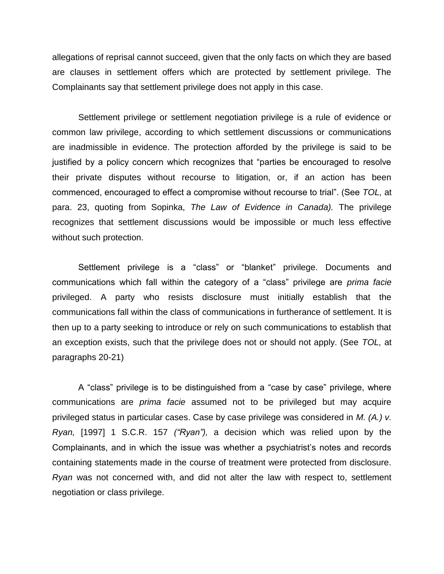allegations of reprisal cannot succeed, given that the only facts on which they are based are clauses in settlement offers which are protected by settlement privilege. The Complainants say that settlement privilege does not apply in this case.

Settlement privilege or settlement negotiation privilege is a rule of evidence or common law privilege, according to which settlement discussions or communications are inadmissible in evidence. The protection afforded by the privilege is said to be justified by a policy concern which recognizes that "parties be encouraged to resolve their private disputes without recourse to litigation, or, if an action has been commenced, encouraged to effect a compromise without recourse to trial". (See *TOL,* at para. 23, quoting from Sopinka, *The Law of Evidence in Canada).* The privilege recognizes that settlement discussions would be impossible or much less effective without such protection.

Settlement privilege is a "class" or "blanket" privilege. Documents and communications which fall within the category of a "class" privilege are *prima facie*  privileged. A party who resists disclosure must initially establish that the communications fall within the class of communications in furtherance of settlement. It is then up to a party seeking to introduce or rely on such communications to establish that an exception exists, such that the privilege does not or should not apply. (See *TOL,* at paragraphs 20-21)

A "class" privilege is to be distinguished from a "case by case" privilege, where communications are *prima facie* assumed not to be privileged but may acquire privileged status in particular cases. Case by case privilege was considered in *M. (A.) v. Ryan,* [1997] 1 S.C.R. 157 *("Ryan"),* a decision which was relied upon by the Complainants, and in which the issue was whether a psychiatrist"s notes and records containing statements made in the course of treatment were protected from disclosure. *Ryan* was not concerned with, and did not alter the law with respect to, settlement negotiation or class privilege.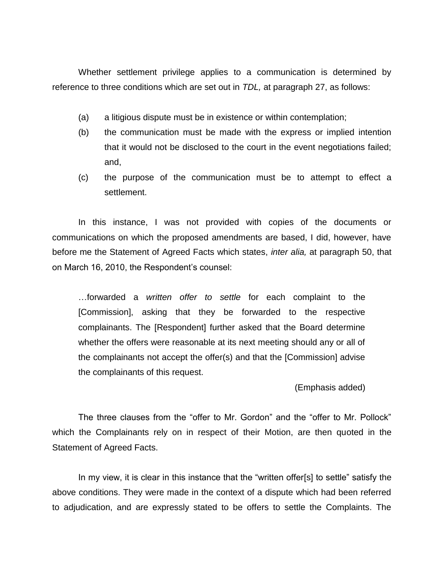Whether settlement privilege applies to a communication is determined by reference to three conditions which are set out in *TDL,* at paragraph 27, as follows:

- (a) a litigious dispute must be in existence or within contemplation;
- (b) the communication must be made with the express or implied intention that it would not be disclosed to the court in the event negotiations failed; and,
- (c) the purpose of the communication must be to attempt to effect a settlement.

In this instance, I was not provided with copies of the documents or communications on which the proposed amendments are based, I did, however, have before me the Statement of Agreed Facts which states, *inter alia,* at paragraph 50, that on March 16, 2010, the Respondent"s counsel:

…forwarded a *written offer to settle* for each complaint to the [Commission], asking that they be forwarded to the respective complainants. The [Respondent] further asked that the Board determine whether the offers were reasonable at its next meeting should any or all of the complainants not accept the offer(s) and that the [Commission] advise the complainants of this request.

(Emphasis added)

The three clauses from the "offer to Mr. Gordon" and the "offer to Mr. Pollock" which the Complainants rely on in respect of their Motion, are then quoted in the Statement of Agreed Facts.

In my view, it is clear in this instance that the "written offer[s] to settle" satisfy the above conditions. They were made in the context of a dispute which had been referred to adjudication, and are expressly stated to be offers to settle the Complaints. The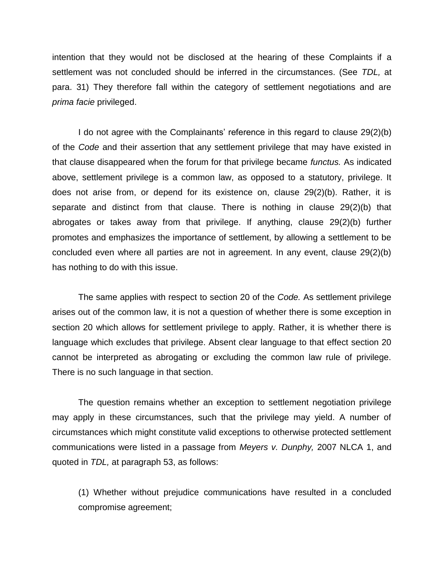intention that they would not be disclosed at the hearing of these Complaints if a settlement was not concluded should be inferred in the circumstances. (See *TDL,* at para. 31) They therefore fall within the category of settlement negotiations and are *prima facie* privileged.

I do not agree with the Complainants" reference in this regard to clause 29(2)(b) of the *Code* and their assertion that any settlement privilege that may have existed in that clause disappeared when the forum for that privilege became *functus.* As indicated above, settlement privilege is a common law, as opposed to a statutory, privilege. It does not arise from, or depend for its existence on, clause 29(2)(b). Rather, it is separate and distinct from that clause. There is nothing in clause 29(2)(b) that abrogates or takes away from that privilege. If anything, clause 29(2)(b) further promotes and emphasizes the importance of settlement, by allowing a settlement to be concluded even where all parties are not in agreement. In any event, clause 29(2)(b) has nothing to do with this issue.

The same applies with respect to section 20 of the *Code.* As settlement privilege arises out of the common law, it is not a question of whether there is some exception in section 20 which allows for settlement privilege to apply. Rather, it is whether there is language which excludes that privilege. Absent clear language to that effect section 20 cannot be interpreted as abrogating or excluding the common law rule of privilege. There is no such language in that section.

The question remains whether an exception to settlement negotiation privilege may apply in these circumstances, such that the privilege may yield. A number of circumstances which might constitute valid exceptions to otherwise protected settlement communications were listed in a passage from *Meyers v. Dunphy,* 2007 NLCA 1, and quoted in *TDL,* at paragraph 53, as follows:

(1) Whether without prejudice communications have resulted in a concluded compromise agreement;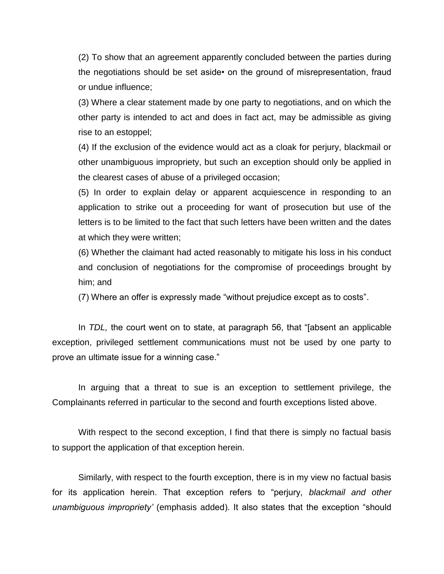(2) To show that an agreement apparently concluded between the parties during the negotiations should be set aside• on the ground of misrepresentation, fraud or undue influence;

(3) Where a clear statement made by one party to negotiations, and on which the other party is intended to act and does in fact act, may be admissible as giving rise to an estoppel;

(4) If the exclusion of the evidence would act as a cloak for perjury, blackmail or other unambiguous impropriety, but such an exception should only be applied in the clearest cases of abuse of a privileged occasion;

(5) In order to explain delay or apparent acquiescence in responding to an application to strike out a proceeding for want of prosecution but use of the letters is to be limited to the fact that such letters have been written and the dates at which they were written;

(6) Whether the claimant had acted reasonably to mitigate his loss in his conduct and conclusion of negotiations for the compromise of proceedings brought by him; and

(7) Where an offer is expressly made "without prejudice except as to costs".

In *TDL,* the court went on to state, at paragraph 56, that "[absent an applicable exception, privileged settlement communications must not be used by one party to prove an ultimate issue for a winning case."

In arguing that a threat to sue is an exception to settlement privilege, the Complainants referred in particular to the second and fourth exceptions listed above.

With respect to the second exception, I find that there is simply no factual basis to support the application of that exception herein.

Similarly, with respect to the fourth exception, there is in my view no factual basis for its application herein. That exception refers to "perjury, *blackmail and other unambiguous impropriety'* (emphasis added). It also states that the exception "should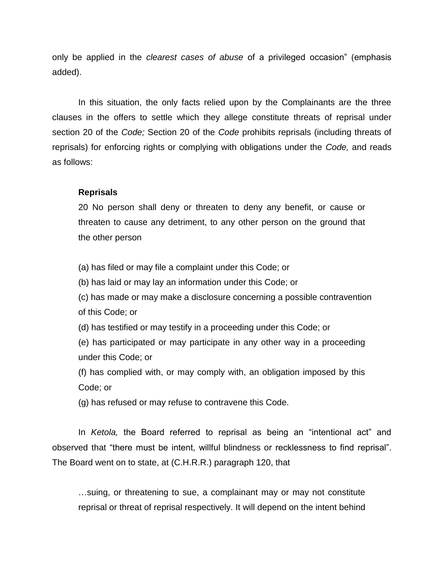only be applied in the *clearest cases of abuse* of a privileged occasion" (emphasis added).

In this situation, the only facts relied upon by the Complainants are the three clauses in the offers to settle which they allege constitute threats of reprisal under section 20 of the *Code;* Section 20 of the *Code* prohibits reprisals (including threats of reprisals) for enforcing rights or complying with obligations under the *Code,* and reads as follows:

#### **Reprisals**

20 No person shall deny or threaten to deny any benefit, or cause or threaten to cause any detriment, to any other person on the ground that the other person

(a) has filed or may file a complaint under this Code; or

(b) has laid or may lay an information under this Code; or

(c) has made or may make a disclosure concerning a possible contravention of this Code; or

(d) has testified or may testify in a proceeding under this Code; or

(e) has participated or may participate in any other way in a proceeding under this Code; or

(f) has complied with, or may comply with, an obligation imposed by this Code; or

(g) has refused or may refuse to contravene this Code.

In *Ketola,* the Board referred to reprisal as being an "intentional act" and observed that "there must be intent, willful blindness or recklessness to find reprisal". The Board went on to state, at (C.H.R.R.) paragraph 120, that

…suing, or threatening to sue, a complainant may or may not constitute reprisal or threat of reprisal respectively. It will depend on the intent behind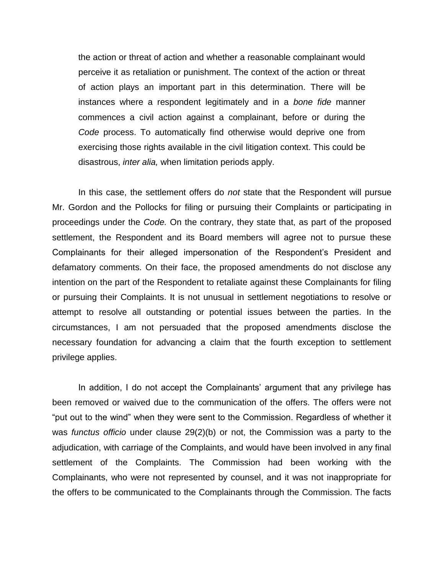the action or threat of action and whether a reasonable complainant would perceive it as retaliation or punishment. The context of the action or threat of action plays an important part in this determination. There will be instances where a respondent legitimately and in a *bone fide* manner commences a civil action against a complainant, before or during the *Code* process. To automatically find otherwise would deprive one from exercising those rights available in the civil litigation context. This could be disastrous, *inter alia,* when limitation periods apply.

In this case, the settlement offers do *not* state that the Respondent will pursue Mr. Gordon and the Pollocks for filing or pursuing their Complaints or participating in proceedings under the *Code.* On the contrary, they state that, as part of the proposed settlement, the Respondent and its Board members will agree not to pursue these Complainants for their alleged impersonation of the Respondent"s President and defamatory comments. On their face, the proposed amendments do not disclose any intention on the part of the Respondent to retaliate against these Complainants for filing or pursuing their Complaints. It is not unusual in settlement negotiations to resolve or attempt to resolve all outstanding or potential issues between the parties. In the circumstances, I am not persuaded that the proposed amendments disclose the necessary foundation for advancing a claim that the fourth exception to settlement privilege applies.

In addition, I do not accept the Complainants" argument that any privilege has been removed or waived due to the communication of the offers. The offers were not "put out to the wind" when they were sent to the Commission. Regardless of whether it was *functus officio* under clause 29(2)(b) or not, the Commission was a party to the adjudication, with carriage of the Complaints, and would have been involved in any final settlement of the Complaints. The Commission had been working with the Complainants, who were not represented by counsel, and it was not inappropriate for the offers to be communicated to the Complainants through the Commission. The facts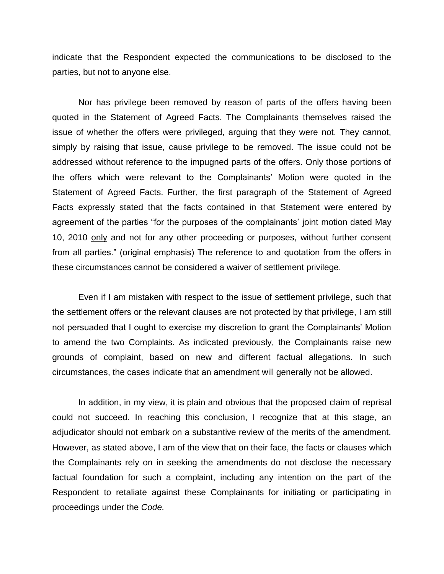indicate that the Respondent expected the communications to be disclosed to the parties, but not to anyone else.

Nor has privilege been removed by reason of parts of the offers having been quoted in the Statement of Agreed Facts. The Complainants themselves raised the issue of whether the offers were privileged, arguing that they were not. They cannot, simply by raising that issue, cause privilege to be removed. The issue could not be addressed without reference to the impugned parts of the offers. Only those portions of the offers which were relevant to the Complainants" Motion were quoted in the Statement of Agreed Facts. Further, the first paragraph of the Statement of Agreed Facts expressly stated that the facts contained in that Statement were entered by agreement of the parties "for the purposes of the complainants' joint motion dated May 10, 2010 only and not for any other proceeding or purposes, without further consent from all parties." (original emphasis) The reference to and quotation from the offers in these circumstances cannot be considered a waiver of settlement privilege.

Even if I am mistaken with respect to the issue of settlement privilege, such that the settlement offers or the relevant clauses are not protected by that privilege, I am still not persuaded that I ought to exercise my discretion to grant the Complainants" Motion to amend the two Complaints. As indicated previously, the Complainants raise new grounds of complaint, based on new and different factual allegations. In such circumstances, the cases indicate that an amendment will generally not be allowed.

In addition, in my view, it is plain and obvious that the proposed claim of reprisal could not succeed. In reaching this conclusion, I recognize that at this stage, an adjudicator should not embark on a substantive review of the merits of the amendment. However, as stated above, I am of the view that on their face, the facts or clauses which the Complainants rely on in seeking the amendments do not disclose the necessary factual foundation for such a complaint, including any intention on the part of the Respondent to retaliate against these Complainants for initiating or participating in proceedings under the *Code.*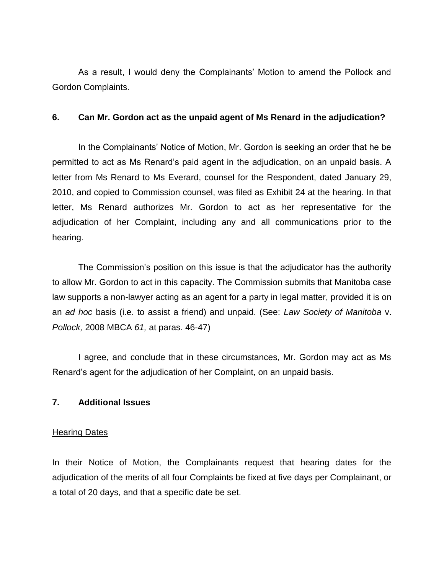As a result, I would deny the Complainants' Motion to amend the Pollock and Gordon Complaints.

### **6. Can Mr. Gordon act as the unpaid agent of Ms Renard in the adjudication?**

In the Complainants' Notice of Motion, Mr. Gordon is seeking an order that he be permitted to act as Ms Renard"s paid agent in the adjudication, on an unpaid basis. A letter from Ms Renard to Ms Everard, counsel for the Respondent, dated January 29, 2010, and copied to Commission counsel, was filed as Exhibit 24 at the hearing. In that letter, Ms Renard authorizes Mr. Gordon to act as her representative for the adjudication of her Complaint, including any and all communications prior to the hearing.

The Commission's position on this issue is that the adjudicator has the authority to allow Mr. Gordon to act in this capacity. The Commission submits that Manitoba case law supports a non-lawyer acting as an agent for a party in legal matter, provided it is on an *ad hoc* basis (i.e. to assist a friend) and unpaid. (See: *Law Society of Manitoba* v. *Pollock,* 2008 MBCA *61,* at paras. 46-47)

I agree, and conclude that in these circumstances, Mr. Gordon may act as Ms Renard"s agent for the adjudication of her Complaint, on an unpaid basis.

# **7. Additional Issues**

# **Hearing Dates**

In their Notice of Motion, the Complainants request that hearing dates for the adjudication of the merits of all four Complaints be fixed at five days per Complainant, or a total of 20 days, and that a specific date be set.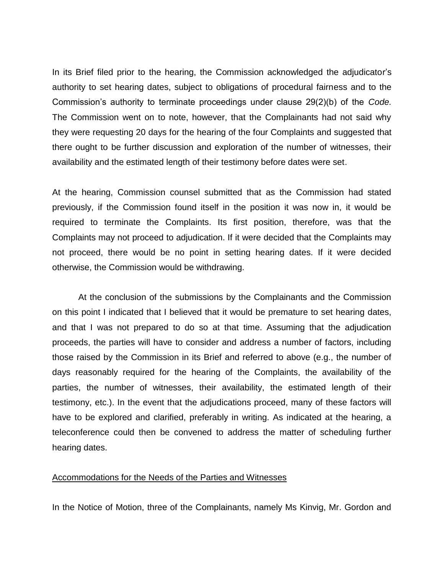In its Brief filed prior to the hearing, the Commission acknowledged the adjudicator"s authority to set hearing dates, subject to obligations of procedural fairness and to the Commission"s authority to terminate proceedings under clause 29(2)(b) of the *Code.*  The Commission went on to note, however, that the Complainants had not said why they were requesting 20 days for the hearing of the four Complaints and suggested that there ought to be further discussion and exploration of the number of witnesses, their availability and the estimated length of their testimony before dates were set.

At the hearing, Commission counsel submitted that as the Commission had stated previously, if the Commission found itself in the position it was now in, it would be required to terminate the Complaints. Its first position, therefore, was that the Complaints may not proceed to adjudication. If it were decided that the Complaints may not proceed, there would be no point in setting hearing dates. If it were decided otherwise, the Commission would be withdrawing.

At the conclusion of the submissions by the Complainants and the Commission on this point I indicated that I believed that it would be premature to set hearing dates, and that I was not prepared to do so at that time. Assuming that the adjudication proceeds, the parties will have to consider and address a number of factors, including those raised by the Commission in its Brief and referred to above (e.g., the number of days reasonably required for the hearing of the Complaints, the availability of the parties, the number of witnesses, their availability, the estimated length of their testimony, etc.). In the event that the adjudications proceed, many of these factors will have to be explored and clarified, preferably in writing. As indicated at the hearing, a teleconference could then be convened to address the matter of scheduling further hearing dates.

#### Accommodations for the Needs of the Parties and Witnesses

In the Notice of Motion, three of the Complainants, namely Ms Kinvig, Mr. Gordon and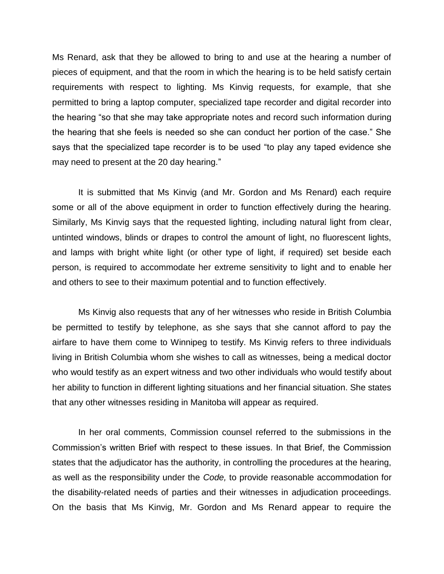Ms Renard, ask that they be allowed to bring to and use at the hearing a number of pieces of equipment, and that the room in which the hearing is to be held satisfy certain requirements with respect to lighting. Ms Kinvig requests, for example, that she permitted to bring a laptop computer, specialized tape recorder and digital recorder into the hearing "so that she may take appropriate notes and record such information during the hearing that she feels is needed so she can conduct her portion of the case." She says that the specialized tape recorder is to be used "to play any taped evidence she may need to present at the 20 day hearing."

It is submitted that Ms Kinvig (and Mr. Gordon and Ms Renard) each require some or all of the above equipment in order to function effectively during the hearing. Similarly, Ms Kinvig says that the requested lighting, including natural light from clear, untinted windows, blinds or drapes to control the amount of light, no fluorescent lights, and lamps with bright white light (or other type of light, if required) set beside each person, is required to accommodate her extreme sensitivity to light and to enable her and others to see to their maximum potential and to function effectively.

Ms Kinvig also requests that any of her witnesses who reside in British Columbia be permitted to testify by telephone, as she says that she cannot afford to pay the airfare to have them come to Winnipeg to testify. Ms Kinvig refers to three individuals living in British Columbia whom she wishes to call as witnesses, being a medical doctor who would testify as an expert witness and two other individuals who would testify about her ability to function in different lighting situations and her financial situation. She states that any other witnesses residing in Manitoba will appear as required.

In her oral comments, Commission counsel referred to the submissions in the Commission"s written Brief with respect to these issues. In that Brief, the Commission states that the adjudicator has the authority, in controlling the procedures at the hearing, as well as the responsibility under the *Code,* to provide reasonable accommodation for the disability-related needs of parties and their witnesses in adjudication proceedings. On the basis that Ms Kinvig, Mr. Gordon and Ms Renard appear to require the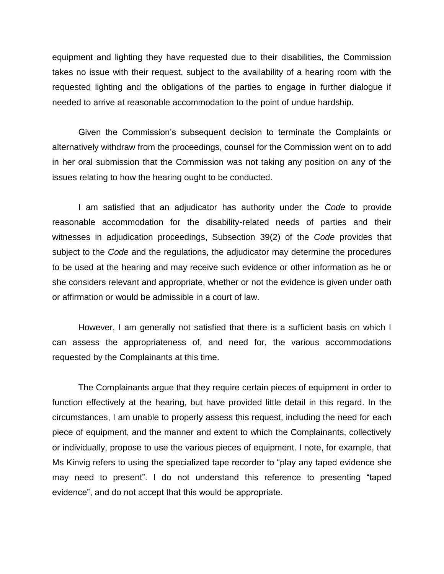equipment and lighting they have requested due to their disabilities, the Commission takes no issue with their request, subject to the availability of a hearing room with the requested lighting and the obligations of the parties to engage in further dialogue if needed to arrive at reasonable accommodation to the point of undue hardship.

Given the Commission"s subsequent decision to terminate the Complaints or alternatively withdraw from the proceedings, counsel for the Commission went on to add in her oral submission that the Commission was not taking any position on any of the issues relating to how the hearing ought to be conducted.

I am satisfied that an adjudicator has authority under the *Code* to provide reasonable accommodation for the disability-related needs of parties and their witnesses in adjudication proceedings, Subsection 39(2) of the *Code* provides that subject to the *Code* and the regulations, the adjudicator may determine the procedures to be used at the hearing and may receive such evidence or other information as he or she considers relevant and appropriate, whether or not the evidence is given under oath or affirmation or would be admissible in a court of law.

However, I am generally not satisfied that there is a sufficient basis on which I can assess the appropriateness of, and need for, the various accommodations requested by the Complainants at this time.

The Complainants argue that they require certain pieces of equipment in order to function effectively at the hearing, but have provided little detail in this regard. In the circumstances, I am unable to properly assess this request, including the need for each piece of equipment, and the manner and extent to which the Complainants, collectively or individually, propose to use the various pieces of equipment. I note, for example, that Ms Kinvig refers to using the specialized tape recorder to "play any taped evidence she may need to present". I do not understand this reference to presenting "taped evidence", and do not accept that this would be appropriate.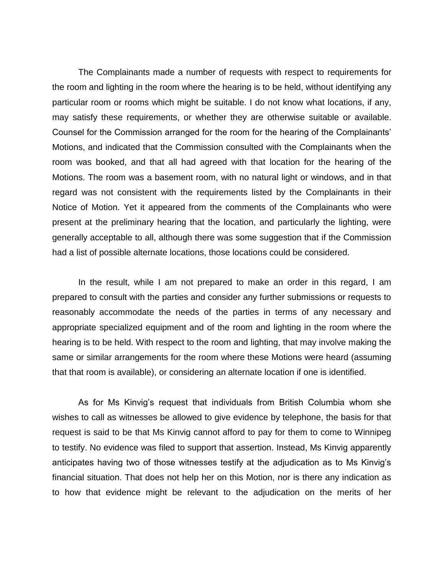The Complainants made a number of requests with respect to requirements for the room and lighting in the room where the hearing is to be held, without identifying any particular room or rooms which might be suitable. I do not know what locations, if any, may satisfy these requirements, or whether they are otherwise suitable or available. Counsel for the Commission arranged for the room for the hearing of the Complainants" Motions, and indicated that the Commission consulted with the Complainants when the room was booked, and that all had agreed with that location for the hearing of the Motions. The room was a basement room, with no natural light or windows, and in that regard was not consistent with the requirements listed by the Complainants in their Notice of Motion. Yet it appeared from the comments of the Complainants who were present at the preliminary hearing that the location, and particularly the lighting, were generally acceptable to all, although there was some suggestion that if the Commission had a list of possible alternate locations, those locations could be considered.

In the result, while I am not prepared to make an order in this regard, I am prepared to consult with the parties and consider any further submissions or requests to reasonably accommodate the needs of the parties in terms of any necessary and appropriate specialized equipment and of the room and lighting in the room where the hearing is to be held. With respect to the room and lighting, that may involve making the same or similar arrangements for the room where these Motions were heard (assuming that that room is available), or considering an alternate location if one is identified.

As for Ms Kinvig's request that individuals from British Columbia whom she wishes to call as witnesses be allowed to give evidence by telephone, the basis for that request is said to be that Ms Kinvig cannot afford to pay for them to come to Winnipeg to testify. No evidence was filed to support that assertion. Instead, Ms Kinvig apparently anticipates having two of those witnesses testify at the adjudication as to Ms Kinvig"s financial situation. That does not help her on this Motion, nor is there any indication as to how that evidence might be relevant to the adjudication on the merits of her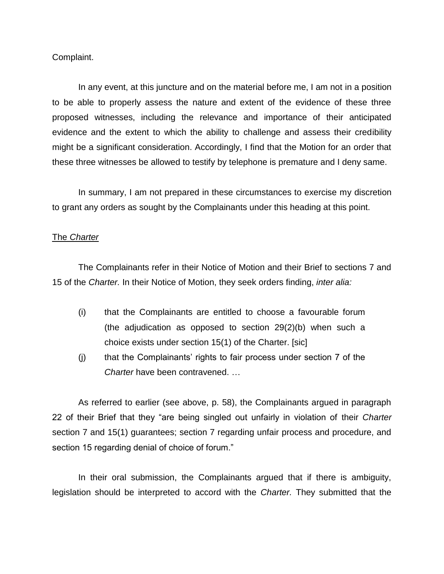Complaint.

In any event, at this juncture and on the material before me, I am not in a position to be able to properly assess the nature and extent of the evidence of these three proposed witnesses, including the relevance and importance of their anticipated evidence and the extent to which the ability to challenge and assess their credibility might be a significant consideration. Accordingly, I find that the Motion for an order that these three witnesses be allowed to testify by telephone is premature and I deny same.

In summary, I am not prepared in these circumstances to exercise my discretion to grant any orders as sought by the Complainants under this heading at this point.

#### The *Charter*

The Complainants refer in their Notice of Motion and their Brief to sections 7 and 15 of the *Charter.* In their Notice of Motion, they seek orders finding, *inter alia:* 

- (i) that the Complainants are entitled to choose a favourable forum (the adjudication as opposed to section 29(2)(b) when such a choice exists under section 15(1) of the Charter. [sic]
- (j) that the Complainants" rights to fair process under section 7 of the *Charter* have been contravened. …

As referred to earlier (see above, p. 58), the Complainants argued in paragraph 22 of their Brief that they "are being singled out unfairly in violation of their *Charter*  section 7 and 15(1) guarantees; section 7 regarding unfair process and procedure, and section 15 regarding denial of choice of forum."

In their oral submission, the Complainants argued that if there is ambiguity, legislation should be interpreted to accord with the *Charter.* They submitted that the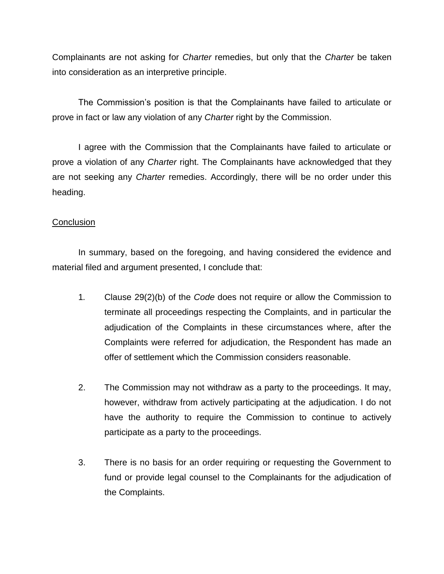Complainants are not asking for *Charter* remedies, but only that the *Charter* be taken into consideration as an interpretive principle.

The Commission"s position is that the Complainants have failed to articulate or prove in fact or law any violation of any *Charter* right by the Commission.

I agree with the Commission that the Complainants have failed to articulate or prove a violation of any *Charter* right. The Complainants have acknowledged that they are not seeking any *Charter* remedies. Accordingly, there will be no order under this heading.

# **Conclusion**

In summary, based on the foregoing, and having considered the evidence and material filed and argument presented, I conclude that:

- 1*.* Clause 29(2)(b) of the *Code* does not require or allow the Commission to terminate all proceedings respecting the Complaints, and in particular the adjudication of the Complaints in these circumstances where, after the Complaints were referred for adjudication, the Respondent has made an offer of settlement which the Commission considers reasonable.
- 2. The Commission may not withdraw as a party to the proceedings. It may, however, withdraw from actively participating at the adjudication. I do not have the authority to require the Commission to continue to actively participate as a party to the proceedings.
- 3. There is no basis for an order requiring or requesting the Government to fund or provide legal counsel to the Complainants for the adjudication of the Complaints.